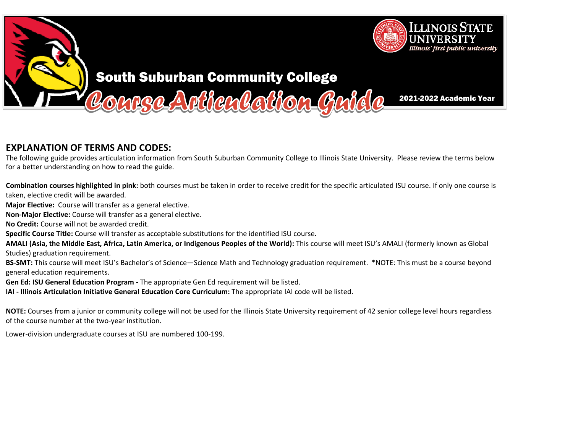

# South Suburban Community College

2021-2022 Academic Year

## **EXPLANATION OF TERMS AND CODES:**

The following guide provides articulation information from South Suburban Community College to Illinois State University. Please review the terms below<br>for a better understanding an boutheread the guide for <sup>a</sup> better understanding on how to read the guide.

OUPSC Arthen Rathon Guide

**Combination courses highlighted in pink:** both courses must be taken in order to receive credit for the specific articulated ISU course. If only one course is taken, elective credit will be awarded.

**Major Elective:** Course will transfer as a general elective.

**Non‐Major Elective:** Course will transfer as <sup>a</sup> general elective.

**No Credit:** Course will not be awarded credit.

**Specific Course Title:** Course will transfer as acceptable substitutions for the identified ISU course.

**AMALI (Asia, the Middle East, Africa, Latin America, or Indigenous Peoples of the World):** This course will meet ISU's AMALI (formerly known as Global Studies) graduation requirement.

**BS‐SMT:** This course will meet ISU's Bachelor's of Science—Science Math and Technology graduation requirement. \*NOTE: This must be <sup>a</sup> course beyond general education requirements.

**Gen Ed: ISU General Education Program ‐** The appropriate Gen Ed requirement will be listed.

**IAI ‐ Illinois Articulation Initiative General Education Core Curriculum:** The appropriate IAI code will be listed.

**NOTE:** Courses from a junior or community college will not be used for the Illinois State University requirement of 42 senior college level hours regardless<br>of the secure number at the two westimations of the course number at the two‐year institution.

Lower‐division undergraduate courses at ISU are numbered <sup>100</sup>‐199.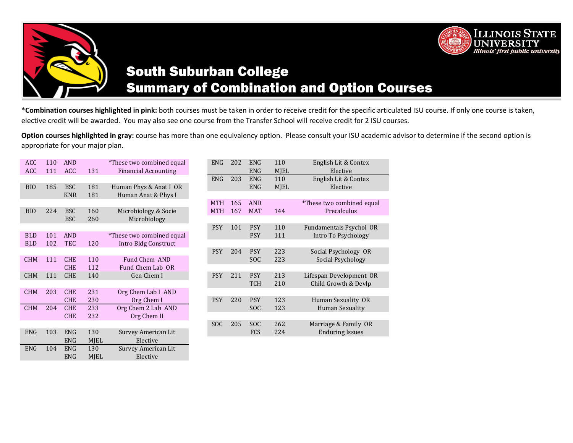



ENG MJEL Elective

# South Suburban College Summary of Combination and Option Courses

**\*Combination courses highlighted in pink:** both courses must be taken in order to receive credit for the specific articulated ISU course. If only one course is taken, elective credit will be awarded.You may also see one course from the Transfer School will receive credit for 2 ISU courses.

**Option courses highlighted in gray:** course has more than one equivalency option. Please consult your ISU academic advisor to determine if the second option is appropriate for your major plan.

| <b>ACC</b> | 110 | <b>AND</b> |             | *These two combined equal   |
|------------|-----|------------|-------------|-----------------------------|
| <b>ACC</b> | 111 | <b>ACC</b> | 131         | <b>Financial Accounting</b> |
|            |     |            |             |                             |
| <b>BIO</b> | 185 | <b>BSC</b> | 181         | Human Phys & Anat I OR      |
|            |     | <b>KNR</b> | 181         | Human Anat & Phys I         |
|            |     |            |             |                             |
| <b>BIO</b> | 224 | <b>BSC</b> | 160         | Microbiology & Socie        |
|            |     | <b>BSC</b> | 260         | Microbiology                |
|            |     |            |             |                             |
| <b>BLD</b> | 101 | <b>AND</b> |             | *These two combined equal   |
| <b>BLD</b> | 102 | <b>TEC</b> | 120         | Intro Bldg Construct        |
|            |     |            |             |                             |
| <b>CHM</b> | 111 | <b>CHE</b> | 110         | Fund Chem AND               |
|            |     | <b>CHE</b> | 112         | Fund Chem Lab OR            |
| <b>CHM</b> | 111 | <b>CHE</b> | 140         | Gen Chem I                  |
|            |     |            |             |                             |
| <b>CHM</b> | 203 | <b>CHE</b> | 231         | Org Chem Lab I AND          |
|            |     | <b>CHE</b> | 230         | Org Chem I                  |
| <b>CHM</b> | 204 | <b>CHE</b> | 233         | Org Chem 2 Lab AND          |
|            |     | <b>CHE</b> | 232         | Org Chem II                 |
|            |     |            |             |                             |
| ENG        | 103 | <b>ENG</b> | 130         | Survey American Lit         |
|            |     | <b>ENG</b> | <b>MJEL</b> | Elective                    |
| <b>ENG</b> | 104 | <b>ENG</b> | 130         | Survey American Lit         |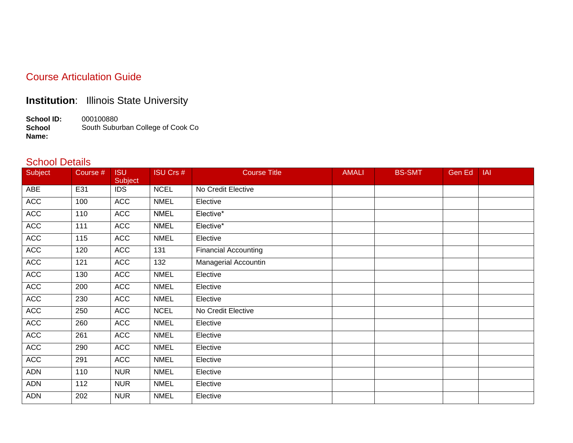#### Course Articulation Guide

### **Institution**: Illinois State University

**School ID:** 000100880 **School Name:** South Suburban College of Cook Co

#### School Details

| Subject    | Course # | <b>ISU</b><br><b>Subject</b> | ISU Crs #   | <b>Course Title</b>         | <b>AMALI</b> | <b>BS-SMT</b> | Gen Ed | <b>IAI</b> |
|------------|----------|------------------------------|-------------|-----------------------------|--------------|---------------|--------|------------|
| ABE        | E31      | <b>IDS</b>                   | <b>NCEL</b> | No Credit Elective          |              |               |        |            |
| <b>ACC</b> | 100      | <b>ACC</b>                   | <b>NMEL</b> | Elective                    |              |               |        |            |
| <b>ACC</b> | 110      | <b>ACC</b>                   | <b>NMEL</b> | Elective*                   |              |               |        |            |
| <b>ACC</b> | 111      | <b>ACC</b>                   | <b>NMEL</b> | Elective*                   |              |               |        |            |
| <b>ACC</b> | 115      | <b>ACC</b>                   | <b>NMEL</b> | Elective                    |              |               |        |            |
| <b>ACC</b> | 120      | <b>ACC</b>                   | 131         | <b>Financial Accounting</b> |              |               |        |            |
| <b>ACC</b> | 121      | <b>ACC</b>                   | 132         | Managerial Accountin        |              |               |        |            |
| <b>ACC</b> | 130      | <b>ACC</b>                   | <b>NMEL</b> | Elective                    |              |               |        |            |
| <b>ACC</b> | 200      | <b>ACC</b>                   | <b>NMEL</b> | Elective                    |              |               |        |            |
| <b>ACC</b> | 230      | <b>ACC</b>                   | <b>NMEL</b> | Elective                    |              |               |        |            |
| <b>ACC</b> | 250      | <b>ACC</b>                   | <b>NCEL</b> | No Credit Elective          |              |               |        |            |
| <b>ACC</b> | 260      | <b>ACC</b>                   | <b>NMEL</b> | Elective                    |              |               |        |            |
| <b>ACC</b> | 261      | <b>ACC</b>                   | <b>NMEL</b> | Elective                    |              |               |        |            |
| <b>ACC</b> | 290      | <b>ACC</b>                   | <b>NMEL</b> | Elective                    |              |               |        |            |
| <b>ACC</b> | 291      | <b>ACC</b>                   | <b>NMEL</b> | Elective                    |              |               |        |            |
| <b>ADN</b> | 110      | <b>NUR</b>                   | <b>NMEL</b> | Elective                    |              |               |        |            |
| ADN        | 112      | <b>NUR</b>                   | <b>NMEL</b> | Elective                    |              |               |        |            |
| <b>ADN</b> | 202      | <b>NUR</b>                   | <b>NMEL</b> | Elective                    |              |               |        |            |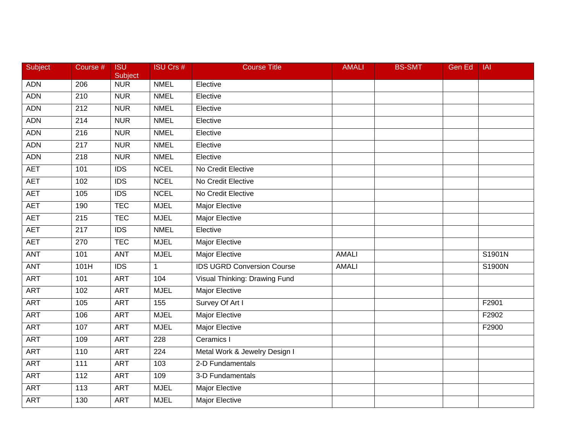| <b>Subject</b> | Course #         | <b>ISU</b><br><b>Subject</b> | <b>ISU Crs #</b> | <b>Course Title</b>               | <b>AMALI</b> | <b>BS-SMT</b> | Gen Ed | <b>IAI</b> |
|----------------|------------------|------------------------------|------------------|-----------------------------------|--------------|---------------|--------|------------|
| <b>ADN</b>     | 206              | <b>NUR</b>                   | <b>NMEL</b>      | Elective                          |              |               |        |            |
| <b>ADN</b>     | 210              | <b>NUR</b>                   | <b>NMEL</b>      | Elective                          |              |               |        |            |
| <b>ADN</b>     | 212              | <b>NUR</b>                   | <b>NMEL</b>      | Elective                          |              |               |        |            |
| <b>ADN</b>     | $\overline{214}$ | <b>NUR</b>                   | <b>NMEL</b>      | Elective                          |              |               |        |            |
| <b>ADN</b>     | 216              | <b>NUR</b>                   | <b>NMEL</b>      | Elective                          |              |               |        |            |
| <b>ADN</b>     | 217              | <b>NUR</b>                   | <b>NMEL</b>      | Elective                          |              |               |        |            |
| <b>ADN</b>     | $\overline{218}$ | <b>NUR</b>                   | <b>NMEL</b>      | Elective                          |              |               |        |            |
| <b>AET</b>     | 101              | $\overline{IDS}$             | <b>NCEL</b>      | No Credit Elective                |              |               |        |            |
| <b>AET</b>     | 102              | $\overline{IDS}$             | <b>NCEL</b>      | No Credit Elective                |              |               |        |            |
| <b>AET</b>     | 105              | <b>IDS</b>                   | <b>NCEL</b>      | No Credit Elective                |              |               |        |            |
| <b>AET</b>     | 190              | <b>TEC</b>                   | <b>MJEL</b>      | Major Elective                    |              |               |        |            |
| <b>AET</b>     | $\overline{215}$ | <b>TEC</b>                   | <b>MJEL</b>      | <b>Major Elective</b>             |              |               |        |            |
| <b>AET</b>     | $\overline{217}$ | $\overline{IDS}$             | <b>NMEL</b>      | Elective                          |              |               |        |            |
| <b>AET</b>     | 270              | <b>TEC</b>                   | <b>MJEL</b>      | Major Elective                    |              |               |        |            |
| <b>ANT</b>     | 101              | ANT                          | <b>MJEL</b>      | <b>Major Elective</b>             | <b>AMALI</b> |               |        | S1901N     |
| <b>ANT</b>     | 101H             | <b>IDS</b>                   | 1                | <b>IDS UGRD Conversion Course</b> | <b>AMALI</b> |               |        | S1900N     |
| <b>ART</b>     | 101              | <b>ART</b>                   | 104              | Visual Thinking: Drawing Fund     |              |               |        |            |
| <b>ART</b>     | 102              | <b>ART</b>                   | <b>MJEL</b>      | <b>Major Elective</b>             |              |               |        |            |
| <b>ART</b>     | 105              | <b>ART</b>                   | $\overline{155}$ | Survey Of Art I                   |              |               |        | F2901      |
| <b>ART</b>     | 106              | <b>ART</b>                   | <b>MJEL</b>      | <b>Major Elective</b>             |              |               |        | F2902      |
| <b>ART</b>     | 107              | <b>ART</b>                   | <b>MJEL</b>      | <b>Major Elective</b>             |              |               |        | F2900      |
| <b>ART</b>     | 109              | <b>ART</b>                   | 228              | Ceramics I                        |              |               |        |            |
| <b>ART</b>     | 110              | <b>ART</b>                   | 224              | Metal Work & Jewelry Design I     |              |               |        |            |
| <b>ART</b>     | 111              | <b>ART</b>                   | 103              | 2-D Fundamentals                  |              |               |        |            |
| <b>ART</b>     | 112              | <b>ART</b>                   | 109              | 3-D Fundamentals                  |              |               |        |            |
| <b>ART</b>     | 113              | <b>ART</b>                   | <b>MJEL</b>      | Major Elective                    |              |               |        |            |
| <b>ART</b>     | 130              | <b>ART</b>                   | <b>MJEL</b>      | <b>Major Elective</b>             |              |               |        |            |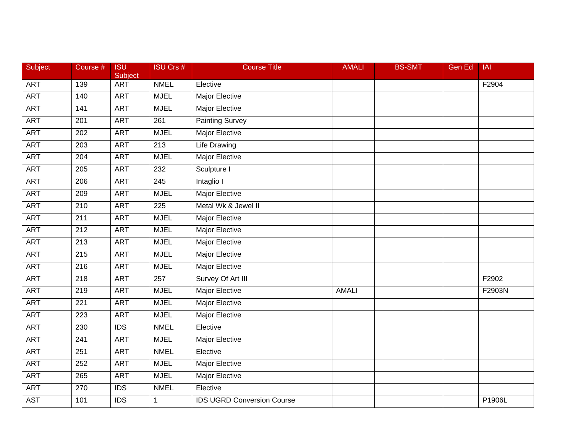| Subject    | Course # | <b>ISU</b><br>Subject | <b>ISU Crs #</b> | <b>Course Title</b>               | <b>AMALI</b> | <b>BS-SMT</b> | <b>Gen Ed</b> | <b>IAI</b> |
|------------|----------|-----------------------|------------------|-----------------------------------|--------------|---------------|---------------|------------|
| <b>ART</b> | 139      | <b>ART</b>            | <b>NMEL</b>      | Elective                          |              |               |               | F2904      |
| <b>ART</b> | 140      | <b>ART</b>            | <b>MJEL</b>      | <b>Major Elective</b>             |              |               |               |            |
| <b>ART</b> | 141      | <b>ART</b>            | <b>MJEL</b>      | <b>Major Elective</b>             |              |               |               |            |
| <b>ART</b> | 201      | <b>ART</b>            | $\overline{261}$ | Painting Survey                   |              |               |               |            |
| <b>ART</b> | 202      | <b>ART</b>            | <b>MJEL</b>      | <b>Major Elective</b>             |              |               |               |            |
| <b>ART</b> | 203      | <b>ART</b>            | $\overline{213}$ | <b>Life Drawing</b>               |              |               |               |            |
| <b>ART</b> | 204      | <b>ART</b>            | <b>MJEL</b>      | <b>Major Elective</b>             |              |               |               |            |
| <b>ART</b> | 205      | <b>ART</b>            | 232              | Sculpture I                       |              |               |               |            |
| <b>ART</b> | 206      | <b>ART</b>            | 245              | Intaglio I                        |              |               |               |            |
| <b>ART</b> | 209      | <b>ART</b>            | <b>MJEL</b>      | <b>Major Elective</b>             |              |               |               |            |
| <b>ART</b> | 210      | <b>ART</b>            | 225              | Metal Wk & Jewel II               |              |               |               |            |
| <b>ART</b> | 211      | <b>ART</b>            | <b>MJEL</b>      | <b>Major Elective</b>             |              |               |               |            |
| <b>ART</b> | 212      | <b>ART</b>            | <b>MJEL</b>      | <b>Major Elective</b>             |              |               |               |            |
| <b>ART</b> | 213      | <b>ART</b>            | <b>MJEL</b>      | <b>Major Elective</b>             |              |               |               |            |
| <b>ART</b> | 215      | <b>ART</b>            | <b>MJEL</b>      | <b>Major Elective</b>             |              |               |               |            |
| <b>ART</b> | 216      | <b>ART</b>            | <b>MJEL</b>      | <b>Major Elective</b>             |              |               |               |            |
| <b>ART</b> | 218      | <b>ART</b>            | 257              | Survey Of Art III                 |              |               |               | F2902      |
| <b>ART</b> | 219      | <b>ART</b>            | <b>MJEL</b>      | <b>Major Elective</b>             | <b>AMALI</b> |               |               | F2903N     |
| <b>ART</b> | 221      | <b>ART</b>            | <b>MJEL</b>      | <b>Major Elective</b>             |              |               |               |            |
| <b>ART</b> | 223      | <b>ART</b>            | <b>MJEL</b>      | <b>Major Elective</b>             |              |               |               |            |
| <b>ART</b> | 230      | <b>IDS</b>            | <b>NMEL</b>      | Elective                          |              |               |               |            |
| <b>ART</b> | 241      | <b>ART</b>            | <b>MJEL</b>      | <b>Major Elective</b>             |              |               |               |            |
| <b>ART</b> | 251      | <b>ART</b>            | <b>NMEL</b>      | Elective                          |              |               |               |            |
| <b>ART</b> | 252      | <b>ART</b>            | <b>MJEL</b>      | Major Elective                    |              |               |               |            |
| <b>ART</b> | 265      | <b>ART</b>            | <b>MJEL</b>      | Major Elective                    |              |               |               |            |
| <b>ART</b> | 270      | <b>IDS</b>            | <b>NMEL</b>      | Elective                          |              |               |               |            |
| <b>AST</b> | 101      | $\overline{IDS}$      | 1                | <b>IDS UGRD Conversion Course</b> |              |               |               | P1906L     |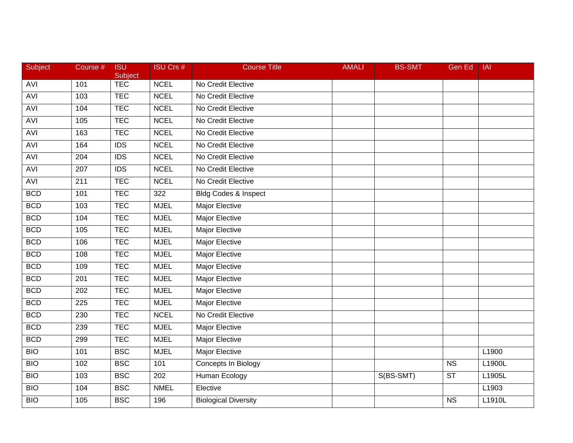| Subject    | Course # | <b>ISU</b><br>Subject | <b>ISU Crs #</b> | <b>Course Title</b>             | <b>AMALI</b> | <b>BS-SMT</b> | <b>Gen Ed</b>          | <b>IAI</b> |
|------------|----------|-----------------------|------------------|---------------------------------|--------------|---------------|------------------------|------------|
| <b>AVI</b> | 101      | <b>TEC</b>            | <b>NCEL</b>      | No Credit Elective              |              |               |                        |            |
| <b>AVI</b> | 103      | <b>TEC</b>            | <b>NCEL</b>      | No Credit Elective              |              |               |                        |            |
| <b>AVI</b> | 104      | <b>TEC</b>            | <b>NCEL</b>      | No Credit Elective              |              |               |                        |            |
| <b>AVI</b> | 105      | <b>TEC</b>            | <b>NCEL</b>      | No Credit Elective              |              |               |                        |            |
| <b>AVI</b> | 163      | <b>TEC</b>            | <b>NCEL</b>      | No Credit Elective              |              |               |                        |            |
| <b>AVI</b> | 164      | <b>IDS</b>            | <b>NCEL</b>      | No Credit Elective              |              |               |                        |            |
| <b>AVI</b> | 204      | $\overline{IDS}$      | <b>NCEL</b>      | No Credit Elective              |              |               |                        |            |
| <b>AVI</b> | 207      | $\overline{IDS}$      | <b>NCEL</b>      | No Credit Elective              |              |               |                        |            |
| <b>AVI</b> | 211      | <b>TEC</b>            | <b>NCEL</b>      | No Credit Elective              |              |               |                        |            |
| <b>BCD</b> | 101      | <b>TEC</b>            | 322              | <b>Bldg Codes &amp; Inspect</b> |              |               |                        |            |
| <b>BCD</b> | 103      | <b>TEC</b>            | <b>MJEL</b>      | Major Elective                  |              |               |                        |            |
| <b>BCD</b> | 104      | <b>TEC</b>            | <b>MJEL</b>      | <b>Major Elective</b>           |              |               |                        |            |
| <b>BCD</b> | 105      | <b>TEC</b>            | <b>MJEL</b>      | <b>Major Elective</b>           |              |               |                        |            |
| <b>BCD</b> | 106      | <b>TEC</b>            | <b>MJEL</b>      | Major Elective                  |              |               |                        |            |
| <b>BCD</b> | 108      | <b>TEC</b>            | <b>MJEL</b>      | Major Elective                  |              |               |                        |            |
| <b>BCD</b> | 109      | <b>TEC</b>            | <b>MJEL</b>      | Major Elective                  |              |               |                        |            |
| <b>BCD</b> | 201      | <b>TEC</b>            | <b>MJEL</b>      | <b>Major Elective</b>           |              |               |                        |            |
| <b>BCD</b> | 202      | <b>TEC</b>            | <b>MJEL</b>      | <b>Major Elective</b>           |              |               |                        |            |
| <b>BCD</b> | 225      | <b>TEC</b>            | <b>MJEL</b>      | Major Elective                  |              |               |                        |            |
| <b>BCD</b> | 230      | <b>TEC</b>            | <b>NCEL</b>      | No Credit Elective              |              |               |                        |            |
| <b>BCD</b> | 239      | <b>TEC</b>            | <b>MJEL</b>      | <b>Major Elective</b>           |              |               |                        |            |
| <b>BCD</b> | 299      | <b>TEC</b>            | <b>MJEL</b>      | <b>Major Elective</b>           |              |               |                        |            |
| <b>BIO</b> | 101      | <b>BSC</b>            | <b>MJEL</b>      | <b>Major Elective</b>           |              |               |                        | L1900      |
| <b>BIO</b> | 102      | <b>BSC</b>            | 101              | <b>Concepts In Biology</b>      |              |               | <b>NS</b>              | L1900L     |
| <b>BIO</b> | 103      | <b>BSC</b>            | 202              | Human Ecology                   |              | S(BS-SMT)     | <b>ST</b>              | L1905L     |
| <b>BIO</b> | 104      | <b>BSC</b>            | <b>NMEL</b>      | Elective                        |              |               |                        | L1903      |
| <b>BIO</b> | 105      | <b>BSC</b>            | 196              | <b>Biological Diversity</b>     |              |               | $\overline{\text{NS}}$ | L1910L     |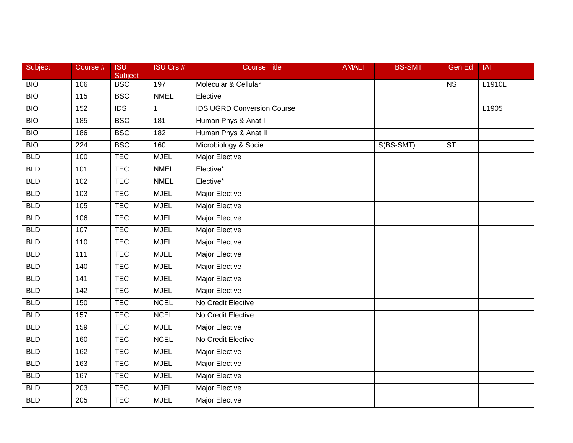| <b>Subject</b>   | Course #         | <b>ISU</b><br>Subject | <b>ISU Crs #</b> | <b>Course Title</b>               | <b>AMALI</b> | <b>BS-SMT</b> | <b>Gen Ed</b> | <b>IAI</b> |
|------------------|------------------|-----------------------|------------------|-----------------------------------|--------------|---------------|---------------|------------|
| $\overline{BIO}$ | 106              | <b>BSC</b>            | 197              | Molecular & Cellular              |              |               | <b>NS</b>     | L1910L     |
| BIO              | 115              | <b>BSC</b>            | <b>NMEL</b>      | Elective                          |              |               |               |            |
| <b>BIO</b>       | 152              | $\overline{IDS}$      | 1                | <b>IDS UGRD Conversion Course</b> |              |               |               | L1905      |
| BIO              | 185              | <b>BSC</b>            | 181              | Human Phys & Anat I               |              |               |               |            |
| <b>BIO</b>       | 186              | <b>BSC</b>            | 182              | Human Phys & Anat II              |              |               |               |            |
| BIO              | 224              | <b>BSC</b>            | 160              | Microbiology & Socie              |              | S(BS-SMT)     | <b>ST</b>     |            |
| <b>BLD</b>       | 100              | <b>TEC</b>            | <b>MJEL</b>      | <b>Major Elective</b>             |              |               |               |            |
| <b>BLD</b>       | 101              | <b>TEC</b>            | <b>NMEL</b>      | Elective*                         |              |               |               |            |
| <b>BLD</b>       | 102              | <b>TEC</b>            | <b>NMEL</b>      | Elective*                         |              |               |               |            |
| <b>BLD</b>       | 103              | <b>TEC</b>            | <b>MJEL</b>      | Major Elective                    |              |               |               |            |
| <b>BLD</b>       | 105              | <b>TEC</b>            | <b>MJEL</b>      | Major Elective                    |              |               |               |            |
| <b>BLD</b>       | 106              | <b>TEC</b>            | <b>MJEL</b>      | <b>Major Elective</b>             |              |               |               |            |
| <b>BLD</b>       | 107              | <b>TEC</b>            | <b>MJEL</b>      | <b>Major Elective</b>             |              |               |               |            |
| <b>BLD</b>       | 110              | <b>TEC</b>            | <b>MJEL</b>      | <b>Major Elective</b>             |              |               |               |            |
| <b>BLD</b>       | 111              | <b>TEC</b>            | <b>MJEL</b>      | <b>Major Elective</b>             |              |               |               |            |
| <b>BLD</b>       | 140              | <b>TEC</b>            | <b>MJEL</b>      | Major Elective                    |              |               |               |            |
| <b>BLD</b>       | 141              | <b>TEC</b>            | <b>MJEL</b>      | <b>Major Elective</b>             |              |               |               |            |
| <b>BLD</b>       | $\overline{142}$ | <b>TEC</b>            | <b>MJEL</b>      | <b>Major Elective</b>             |              |               |               |            |
| <b>BLD</b>       | 150              | <b>TEC</b>            | <b>NCEL</b>      | No Credit Elective                |              |               |               |            |
| <b>BLD</b>       | 157              | <b>TEC</b>            | <b>NCEL</b>      | No Credit Elective                |              |               |               |            |
| <b>BLD</b>       | 159              | <b>TEC</b>            | <b>MJEL</b>      | Major Elective                    |              |               |               |            |
| <b>BLD</b>       | 160              | <b>TEC</b>            | <b>NCEL</b>      | No Credit Elective                |              |               |               |            |
| <b>BLD</b>       | 162              | <b>TEC</b>            | <b>MJEL</b>      | <b>Major Elective</b>             |              |               |               |            |
| <b>BLD</b>       | 163              | <b>TEC</b>            | <b>MJEL</b>      | <b>Major Elective</b>             |              |               |               |            |
| <b>BLD</b>       | 167              | <b>TEC</b>            | <b>MJEL</b>      | Major Elective                    |              |               |               |            |
| <b>BLD</b>       | 203              | <b>TEC</b>            | <b>MJEL</b>      | Major Elective                    |              |               |               |            |
| <b>BLD</b>       | 205              | <b>TEC</b>            | <b>MJEL</b>      | <b>Major Elective</b>             |              |               |               |            |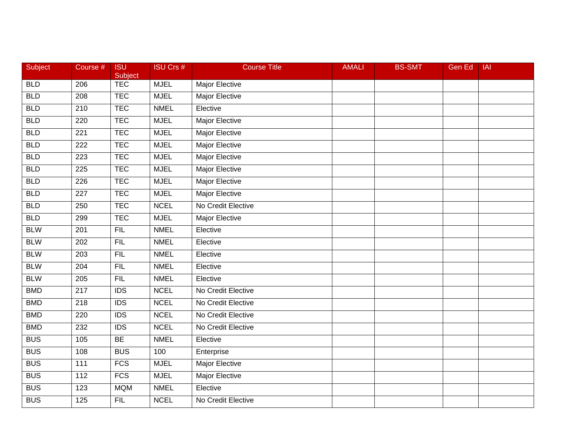| Subject    | Course #         | <b>ISU</b><br>Subject | <b>ISU Crs #</b> | <b>Course Title</b>   | <b>AMALI</b> | <b>BS-SMT</b> | <b>Gen Ed</b> | <b>IAI</b> |
|------------|------------------|-----------------------|------------------|-----------------------|--------------|---------------|---------------|------------|
| <b>BLD</b> | 206              | <b>TEC</b>            | <b>MJEL</b>      | Major Elective        |              |               |               |            |
| <b>BLD</b> | 208              | <b>TEC</b>            | <b>MJEL</b>      | <b>Major Elective</b> |              |               |               |            |
| <b>BLD</b> | 210              | <b>TEC</b>            | <b>NMEL</b>      | Elective              |              |               |               |            |
| <b>BLD</b> | 220              | <b>TEC</b>            | <b>MJEL</b>      | <b>Major Elective</b> |              |               |               |            |
| <b>BLD</b> | 221              | <b>TEC</b>            | <b>MJEL</b>      | Major Elective        |              |               |               |            |
| <b>BLD</b> | 222              | <b>TEC</b>            | <b>MJEL</b>      | Major Elective        |              |               |               |            |
| <b>BLD</b> | 223              | <b>TEC</b>            | <b>MJEL</b>      | <b>Major Elective</b> |              |               |               |            |
| <b>BLD</b> | 225              | <b>TEC</b>            | <b>MJEL</b>      | <b>Major Elective</b> |              |               |               |            |
| <b>BLD</b> | 226              | <b>TEC</b>            | <b>MJEL</b>      | <b>Major Elective</b> |              |               |               |            |
| <b>BLD</b> | 227              | <b>TEC</b>            | <b>MJEL</b>      | <b>Major Elective</b> |              |               |               |            |
| <b>BLD</b> | 250              | <b>TEC</b>            | <b>NCEL</b>      | No Credit Elective    |              |               |               |            |
| <b>BLD</b> | 299              | <b>TEC</b>            | <b>MJEL</b>      | <b>Major Elective</b> |              |               |               |            |
| <b>BLW</b> | 201              | FIL                   | <b>NMEL</b>      | Elective              |              |               |               |            |
| <b>BLW</b> | 202              | FIL                   | <b>NMEL</b>      | Elective              |              |               |               |            |
| <b>BLW</b> | 203              | FIL                   | <b>NMEL</b>      | Elective              |              |               |               |            |
| <b>BLW</b> | 204              | <b>FIL</b>            | <b>NMEL</b>      | Elective              |              |               |               |            |
| <b>BLW</b> | 205              | FIL                   | <b>NMEL</b>      | Elective              |              |               |               |            |
| <b>BMD</b> | 217              | $\overline{IDS}$      | <b>NCEL</b>      | No Credit Elective    |              |               |               |            |
| <b>BMD</b> | 218              | <b>IDS</b>            | <b>NCEL</b>      | No Credit Elective    |              |               |               |            |
| <b>BMD</b> | 220              | $\overline{IDS}$      | <b>NCEL</b>      | No Credit Elective    |              |               |               |            |
| <b>BMD</b> | 232              | <b>IDS</b>            | <b>NCEL</b>      | No Credit Elective    |              |               |               |            |
| <b>BUS</b> | 105              | BE                    | <b>NMEL</b>      | Elective              |              |               |               |            |
| <b>BUS</b> | 108              | <b>BUS</b>            | 100              | Enterprise            |              |               |               |            |
| <b>BUS</b> | $\frac{111}{11}$ | <b>FCS</b>            | <b>MJEL</b>      | <b>Major Elective</b> |              |               |               |            |
| <b>BUS</b> | 112              | <b>FCS</b>            | <b>MJEL</b>      | Major Elective        |              |               |               |            |
| <b>BUS</b> | 123              | <b>MQM</b>            | <b>NMEL</b>      | Elective              |              |               |               |            |
| <b>BUS</b> | 125              | FIL                   | <b>NCEL</b>      | No Credit Elective    |              |               |               |            |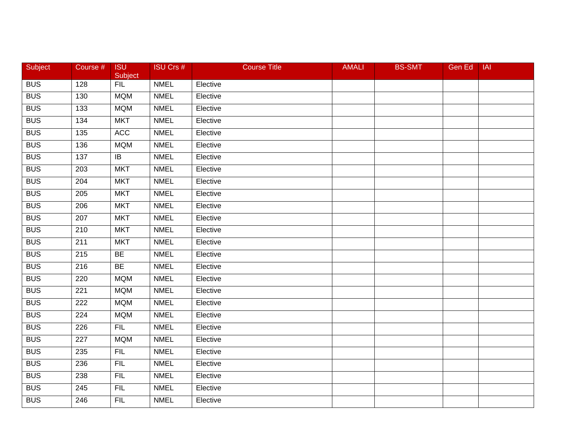| Subject    | Course #         | <b>ISU</b><br>Subject | <b>ISU Crs #</b> | <b>Course Title</b> | <b>AMALI</b> | <b>BS-SMT</b> | Gen Ed | IAI |
|------------|------------------|-----------------------|------------------|---------------------|--------------|---------------|--------|-----|
| <b>BUS</b> | 128              | FIL                   | <b>NMEL</b>      | Elective            |              |               |        |     |
| <b>BUS</b> | 130              | <b>MQM</b>            | <b>NMEL</b>      | Elective            |              |               |        |     |
| <b>BUS</b> | 133              | <b>MQM</b>            | <b>NMEL</b>      | Elective            |              |               |        |     |
| <b>BUS</b> | 134              | <b>MKT</b>            | <b>NMEL</b>      | Elective            |              |               |        |     |
| <b>BUS</b> | 135              | ACC                   | <b>NMEL</b>      | Elective            |              |               |        |     |
| <b>BUS</b> | 136              | <b>MQM</b>            | <b>NMEL</b>      | Elective            |              |               |        |     |
| <b>BUS</b> | $\overline{137}$ | $\overline{1}$        | <b>NMEL</b>      | Elective            |              |               |        |     |
| <b>BUS</b> | 203              | <b>MKT</b>            | <b>NMEL</b>      | Elective            |              |               |        |     |
| <b>BUS</b> | 204              | <b>MKT</b>            | <b>NMEL</b>      | Elective            |              |               |        |     |
| <b>BUS</b> | 205              | <b>MKT</b>            | <b>NMEL</b>      | Elective            |              |               |        |     |
| <b>BUS</b> | 206              | <b>MKT</b>            | <b>NMEL</b>      | Elective            |              |               |        |     |
| <b>BUS</b> | 207              | <b>MKT</b>            | <b>NMEL</b>      | Elective            |              |               |        |     |
| <b>BUS</b> | $\overline{210}$ | <b>MKT</b>            | <b>NMEL</b>      | Elective            |              |               |        |     |
| <b>BUS</b> | 211              | <b>MKT</b>            | <b>NMEL</b>      | Elective            |              |               |        |     |
| <b>BUS</b> | 215              | <b>BE</b>             | <b>NMEL</b>      | Elective            |              |               |        |     |
| <b>BUS</b> | 216              | <b>BE</b>             | <b>NMEL</b>      | Elective            |              |               |        |     |
| <b>BUS</b> | 220              | <b>MQM</b>            | <b>NMEL</b>      | Elective            |              |               |        |     |
| <b>BUS</b> | 221              | <b>MQM</b>            | <b>NMEL</b>      | Elective            |              |               |        |     |
| <b>BUS</b> | 222              | <b>MQM</b>            | <b>NMEL</b>      | Elective            |              |               |        |     |
| <b>BUS</b> | 224              | <b>MQM</b>            | <b>NMEL</b>      | Elective            |              |               |        |     |
| <b>BUS</b> | 226              | <b>FIL</b>            | <b>NMEL</b>      | Elective            |              |               |        |     |
| <b>BUS</b> | $\overline{227}$ | <b>MQM</b>            | <b>NMEL</b>      | Elective            |              |               |        |     |
| <b>BUS</b> | 235              | <b>FIL</b>            | <b>NMEL</b>      | Elective            |              |               |        |     |
| <b>BUS</b> | 236              | <b>FIL</b>            | <b>NMEL</b>      | Elective            |              |               |        |     |
| <b>BUS</b> | 238              | FIL                   | <b>NMEL</b>      | Elective            |              |               |        |     |
| <b>BUS</b> | 245              | <b>FIL</b>            | <b>NMEL</b>      | Elective            |              |               |        |     |
| <b>BUS</b> | 246              | FIL                   | <b>NMEL</b>      | Elective            |              |               |        |     |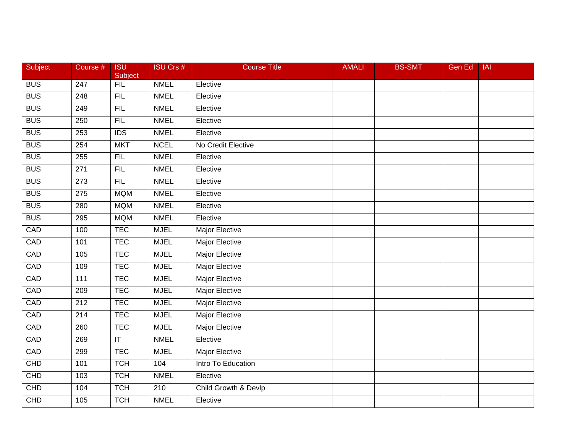| Subject    | Course #         | <b>ISU</b><br><b>Subject</b> | <b>ISU Crs #</b> | <b>Course Title</b>   | <b>AMALI</b> | <b>BS-SMT</b> | <b>Gen Ed</b> | <b>IAI</b> |
|------------|------------------|------------------------------|------------------|-----------------------|--------------|---------------|---------------|------------|
| <b>BUS</b> | 247              | FIL                          | <b>NMEL</b>      | Elective              |              |               |               |            |
| <b>BUS</b> | 248              | FIL                          | <b>NMEL</b>      | Elective              |              |               |               |            |
| <b>BUS</b> | 249              | FIL                          | <b>NMEL</b>      | Elective              |              |               |               |            |
| <b>BUS</b> | 250              | FIL                          | <b>NMEL</b>      | Elective              |              |               |               |            |
| <b>BUS</b> | 253              | <b>IDS</b>                   | <b>NMEL</b>      | Elective              |              |               |               |            |
| <b>BUS</b> | 254              | <b>MKT</b>                   | <b>NCEL</b>      | No Credit Elective    |              |               |               |            |
| <b>BUS</b> | 255              | FIL                          | <b>NMEL</b>      | Elective              |              |               |               |            |
| <b>BUS</b> | 271              | FIL                          | <b>NMEL</b>      | Elective              |              |               |               |            |
| <b>BUS</b> | $\overline{273}$ | FIL                          | <b>NMEL</b>      | Elective              |              |               |               |            |
| <b>BUS</b> | 275              | <b>MQM</b>                   | <b>NMEL</b>      | Elective              |              |               |               |            |
| <b>BUS</b> | 280              | <b>MQM</b>                   | <b>NMEL</b>      | Elective              |              |               |               |            |
| <b>BUS</b> | 295              | <b>MQM</b>                   | <b>NMEL</b>      | Elective              |              |               |               |            |
| CAD        | 100              | <b>TEC</b>                   | <b>MJEL</b>      | <b>Major Elective</b> |              |               |               |            |
| CAD        | 101              | <b>TEC</b>                   | <b>MJEL</b>      | Major Elective        |              |               |               |            |
| CAD        | 105              | <b>TEC</b>                   | <b>MJEL</b>      | <b>Major Elective</b> |              |               |               |            |
| CAD        | 109              | <b>TEC</b>                   | <b>MJEL</b>      | Major Elective        |              |               |               |            |
| CAD        | $\overline{111}$ | <b>TEC</b>                   | <b>MJEL</b>      | <b>Major Elective</b> |              |               |               |            |
| CAD        | 209              | <b>TEC</b>                   | <b>MJEL</b>      | <b>Major Elective</b> |              |               |               |            |
| CAD        | 212              | <b>TEC</b>                   | <b>MJEL</b>      | <b>Major Elective</b> |              |               |               |            |
| CAD        | $\overline{214}$ | <b>TEC</b>                   | <b>MJEL</b>      | <b>Major Elective</b> |              |               |               |            |
| CAD        | 260              | <b>TEC</b>                   | <b>MJEL</b>      | Major Elective        |              |               |               |            |
| CAD        | 269              | $\overline{\mathsf{T}}$      | <b>NMEL</b>      | Elective              |              |               |               |            |
| CAD        | 299              | <b>TEC</b>                   | <b>MJEL</b>      | <b>Major Elective</b> |              |               |               |            |
| CHD        | 101              | <b>TCH</b>                   | 104              | Intro To Education    |              |               |               |            |
| CHD        | 103              | <b>TCH</b>                   | <b>NMEL</b>      | Elective              |              |               |               |            |
| CHD        | 104              | <b>TCH</b>                   | 210              | Child Growth & Devlp  |              |               |               |            |
| <b>CHD</b> | 105              | <b>TCH</b>                   | <b>NMEL</b>      | Elective              |              |               |               |            |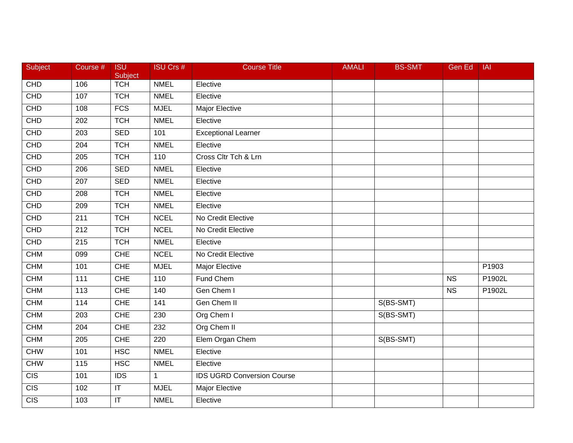| Subject          | Course #         | <b>ISU</b><br>Subject             | ISU Crs #    | <b>Course Title</b>               | <b>AMALI</b> | <b>BS-SMT</b> | Gen Ed                 | IAI    |
|------------------|------------------|-----------------------------------|--------------|-----------------------------------|--------------|---------------|------------------------|--------|
| <b>CHD</b>       | 106              | <b>TCH</b>                        | <b>NMEL</b>  | Elective                          |              |               |                        |        |
| CHD              | 107              | <b>TCH</b>                        | <b>NMEL</b>  | Elective                          |              |               |                        |        |
| <b>CHD</b>       | 108              | <b>FCS</b>                        | <b>MJEL</b>  | Major Elective                    |              |               |                        |        |
| CHD              | 202              | <b>TCH</b>                        | <b>NMEL</b>  | Elective                          |              |               |                        |        |
| CHD              | 203              | <b>SED</b>                        | 101          | <b>Exceptional Learner</b>        |              |               |                        |        |
| CHD              | 204              | <b>TCH</b>                        | <b>NMEL</b>  | Elective                          |              |               |                        |        |
| CHD              | 205              | <b>TCH</b>                        | 110          | Cross Cltr Tch & Lrn              |              |               |                        |        |
| CHD              | 206              | <b>SED</b>                        | <b>NMEL</b>  | Elective                          |              |               |                        |        |
| CHD              | 207              | <b>SED</b>                        | <b>NMEL</b>  | Elective                          |              |               |                        |        |
| CHD              | 208              | <b>TCH</b>                        | <b>NMEL</b>  | Elective                          |              |               |                        |        |
| <b>CHD</b>       | 209              | <b>TCH</b>                        | <b>NMEL</b>  | Elective                          |              |               |                        |        |
| CHD              | $\overline{211}$ | <b>TCH</b>                        | <b>NCEL</b>  | No Credit Elective                |              |               |                        |        |
| CHD              | $\overline{212}$ | <b>TCH</b>                        | <b>NCEL</b>  | No Credit Elective                |              |               |                        |        |
| <b>CHD</b>       | 215              | <b>TCH</b>                        | <b>NMEL</b>  | Elective                          |              |               |                        |        |
| <b>CHM</b>       | 099              | <b>CHE</b>                        | <b>NCEL</b>  | No Credit Elective                |              |               |                        |        |
| <b>CHM</b>       | 101              | CHE                               | <b>MJEL</b>  | Major Elective                    |              |               |                        | P1903  |
| <b>CHM</b>       | 111              | <b>CHE</b>                        | 110          | Fund Chem                         |              |               | $\overline{\text{NS}}$ | P1902L |
| <b>CHM</b>       | 113              | <b>CHE</b>                        | 140          | Gen Chem I                        |              |               | <b>NS</b>              | P1902L |
| <b>CHM</b>       | 114              | <b>CHE</b>                        | 141          | Gen Chem II                       |              | S(BS-SMT)     |                        |        |
| <b>CHM</b>       | 203              | <b>CHE</b>                        | 230          | Org Chem I                        |              | S(BS-SMT)     |                        |        |
| <b>CHM</b>       | $\overline{204}$ | <b>CHE</b>                        | 232          | Org Chem II                       |              |               |                        |        |
| <b>CHM</b>       | 205              | <b>CHE</b>                        | 220          | Elem Organ Chem                   |              | S(BS-SMT)     |                        |        |
| <b>CHW</b>       | 101              | <b>HSC</b>                        | <b>NMEL</b>  | Elective                          |              |               |                        |        |
| CHW              | 115              | <b>HSC</b>                        | <b>NMEL</b>  | Elective                          |              |               |                        |        |
| $\overline{CIS}$ | 101              | <b>IDS</b>                        | $\mathbf{1}$ | <b>IDS UGRD Conversion Course</b> |              |               |                        |        |
| $\overline{C}$   | 102              | $\mathsf{I}\mathsf{T}$            | <b>MJEL</b>  | Major Elective                    |              |               |                        |        |
| $\overline{C}$   | 103              | $\overline{\mathsf{I}\mathsf{T}}$ | <b>NMEL</b>  | Elective                          |              |               |                        |        |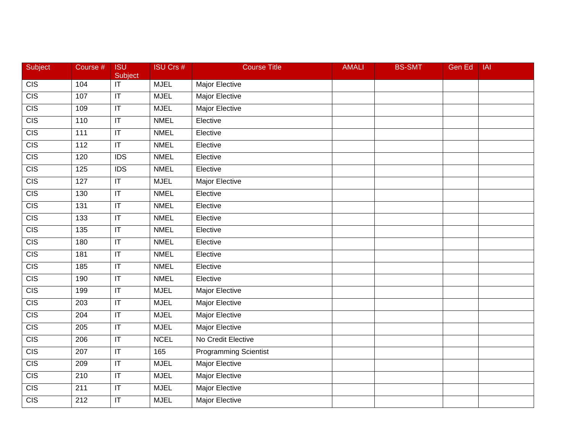| Subject          | Course #         | <b>ISU</b><br>Subject             | <b>ISU Crs #</b> | <b>Course Title</b>          | <b>AMALI</b> | <b>BS-SMT</b> | <b>Gen Ed</b> | <b>IAI</b> |
|------------------|------------------|-----------------------------------|------------------|------------------------------|--------------|---------------|---------------|------------|
| CIS              | 104              | $\overline{\mathsf{T}}$           | <b>MJEL</b>      | Major Elective               |              |               |               |            |
| $\overline{CIS}$ | 107              | $\overline{\mathsf{I}\mathsf{T}}$ | <b>MJEL</b>      | <b>Major Elective</b>        |              |               |               |            |
| CIS              | 109              | $\overline{\mathbb{T}}$           | <b>MJEL</b>      | <b>Major Elective</b>        |              |               |               |            |
| CIS              | 110              | $\overline{\mathbb{T}}$           | <b>NMEL</b>      | Elective                     |              |               |               |            |
| CIS              | 111              | $\mathsf{I}\mathsf{T}$            | <b>NMEL</b>      | Elective                     |              |               |               |            |
| CIS              | 112              | $\mathsf{I}\mathsf{T}$            | <b>NMEL</b>      | Elective                     |              |               |               |            |
| CIS              | 120              | $\overline{IDS}$                  | <b>NMEL</b>      | Elective                     |              |               |               |            |
| CIS              | 125              | IDS                               | <b>NMEL</b>      | Elective                     |              |               |               |            |
| CIS              | 127              | $\overline{\mathbb{T}}$           | <b>MJEL</b>      | <b>Major Elective</b>        |              |               |               |            |
| $\overline{CIS}$ | 130              | $\overline{\mathsf{I}\mathsf{T}}$ | <b>NMEL</b>      | Elective                     |              |               |               |            |
| <b>CIS</b>       | 131              | $\mathsf{I}\mathsf{T}$            | <b>NMEL</b>      | Elective                     |              |               |               |            |
| CIS              | $\overline{133}$ | $\overline{\mathbb{T}}$           | <b>NMEL</b>      | Elective                     |              |               |               |            |
| CIS              | $\overline{135}$ | $\overline{\mathbb{T}}$           | <b>NMEL</b>      | Elective                     |              |               |               |            |
| CIS              | 180              | $\overline{\mathsf{I}\mathsf{T}}$ | <b>NMEL</b>      | Elective                     |              |               |               |            |
| CIS              | 181              | $\overline{\mathsf{I}\mathsf{T}}$ | <b>NMEL</b>      | Elective                     |              |               |               |            |
| CIS              | 185              | $\sf IT$                          | <b>NMEL</b>      | Elective                     |              |               |               |            |
| CIS              | 190              | $\overline{\mathbb{I}}$           | <b>NMEL</b>      | Elective                     |              |               |               |            |
| CIS              | 199              | $\overline{\mathsf{T}}$           | <b>MJEL</b>      | <b>Major Elective</b>        |              |               |               |            |
| CIS              | 203              | $\overline{\mathsf{I}\mathsf{T}}$ | <b>MJEL</b>      | <b>Major Elective</b>        |              |               |               |            |
| CIS              | $\overline{204}$ | $\overline{\mathsf{I}\mathsf{T}}$ | <b>MJEL</b>      | <b>Major Elective</b>        |              |               |               |            |
| $\overline{CIS}$ | 205              | $\mathsf{I}\mathsf{T}$            | <b>MJEL</b>      | <b>Major Elective</b>        |              |               |               |            |
| CIS              | 206              | $\overline{\mathbb{I}}$           | <b>NCEL</b>      | No Credit Elective           |              |               |               |            |
| CIS              | $\overline{207}$ | $\overline{\mathbb{T}}$           | 165              | <b>Programming Scientist</b> |              |               |               |            |
| $\overline{CIS}$ | 209              | $\mathsf{I}\mathsf{T}$            | <b>MJEL</b>      | <b>Major Elective</b>        |              |               |               |            |
| CIS              | 210              | $\sf IT$                          | <b>MJEL</b>      | Major Elective               |              |               |               |            |
| $\overline{CIS}$ | 211              | $\sf IT$                          | <b>MJEL</b>      | <b>Major Elective</b>        |              |               |               |            |
| $\overline{CIS}$ | 212              | $\overline{\mathbb{T}}$           | <b>MJEL</b>      | <b>Major Elective</b>        |              |               |               |            |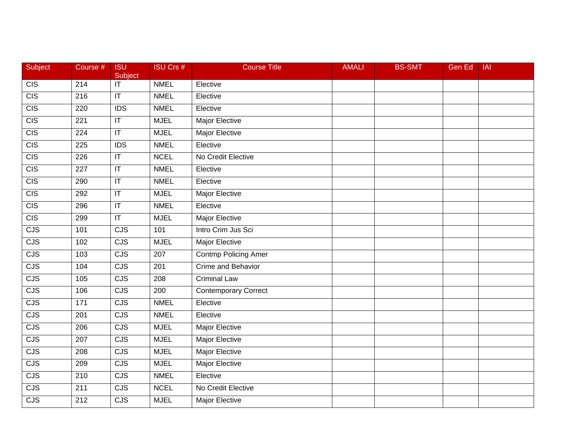| Subject    | Course #          | <b>ISU</b><br>Subject                        | <b>ISU Crs #</b> | <b>Course Title</b>         | <b>AMALI</b> | <b>BS-SMT</b> | Gen Ed | <b>IAI</b> |
|------------|-------------------|----------------------------------------------|------------------|-----------------------------|--------------|---------------|--------|------------|
| CIS        | $\overline{214}$  | $\overline{\overline{\mathsf{I}\mathsf{T}}}$ | <b>NMEL</b>      | Elective                    |              |               |        |            |
| CIS        | 216               | $\overline{\mathbb{T}}$                      | <b>NMEL</b>      | Elective                    |              |               |        |            |
| CIS        | 220               | $\overline{IDS}$                             | <b>NMEL</b>      | Elective                    |              |               |        |            |
| CIS        | 221               | $\overline{\mathbb{T}}$                      | <b>MJEL</b>      | <b>Major Elective</b>       |              |               |        |            |
| CIS        | 224               | $\mathsf{I}\mathsf{T}$                       | <b>MJEL</b>      | Major Elective              |              |               |        |            |
| CIS        | 225               | <b>IDS</b>                                   | <b>NMEL</b>      | Elective                    |              |               |        |            |
| CIS        | 226               | $\overline{\mathsf{I}\mathsf{T}}$            | <b>NCEL</b>      | No Credit Elective          |              |               |        |            |
| CIS        | $\overline{227}$  | $ \mathsf{T} $                               | <b>NMEL</b>      | Elective                    |              |               |        |            |
| CIS        | 290               | $\overline{\mathsf{I}\mathsf{T}}$            | <b>NMEL</b>      | Elective                    |              |               |        |            |
| CIS        | 292               | $\mathsf{I}\mathsf{T}$                       | <b>MJEL</b>      | Major Elective              |              |               |        |            |
| <b>CIS</b> | 296               | $ \mathsf{T} $                               | <b>NMEL</b>      | Elective                    |              |               |        |            |
| CIS        | 299               | $\overline{\mathbb{T}}$                      | <b>MJEL</b>      | <b>Major Elective</b>       |              |               |        |            |
| CJS        | 101               | CJS                                          | 101              | Intro Crim Jus Sci          |              |               |        |            |
| CJS        | 102               | CJS                                          | <b>MJEL</b>      | <b>Major Elective</b>       |              |               |        |            |
| CJS        | 103               | $\overline{\text{CJS}}$                      | 207              | <b>Contmp Policing Amer</b> |              |               |        |            |
| CJS        | 104               | <b>CJS</b>                                   | 201              | Crime and Behavior          |              |               |        |            |
| CJS        | $\frac{105}{105}$ | CJS                                          | $\overline{208}$ | <b>Criminal Law</b>         |              |               |        |            |
| CJS        | 106               | $\overline{\text{CJS}}$                      | $\overline{200}$ | <b>Contemporary Correct</b> |              |               |        |            |
| CJS        | 171               | CJS                                          | <b>NMEL</b>      | Elective                    |              |               |        |            |
| CJS        | 201               | $\overline{\text{CJS}}$                      | <b>NMEL</b>      | Elective                    |              |               |        |            |
| CJS        | 206               | <b>CJS</b>                                   | <b>MJEL</b>      | Major Elective              |              |               |        |            |
| CJS        | 207               | CJS                                          | <b>MJEL</b>      | <b>Major Elective</b>       |              |               |        |            |
| CJS        | $\overline{208}$  | CJS                                          | <b>MJEL</b>      | <b>Major Elective</b>       |              |               |        |            |
| CJS        | 209               | CJS                                          | <b>MJEL</b>      | <b>Major Elective</b>       |              |               |        |            |
| CJS        | 210               | <b>CJS</b>                                   | <b>NMEL</b>      | Elective                    |              |               |        |            |
| CJS        | 211               | <b>CJS</b>                                   | <b>NCEL</b>      | No Credit Elective          |              |               |        |            |
| CJS        | $\overline{212}$  | CJS                                          | <b>MJEL</b>      | Major Elective              |              |               |        |            |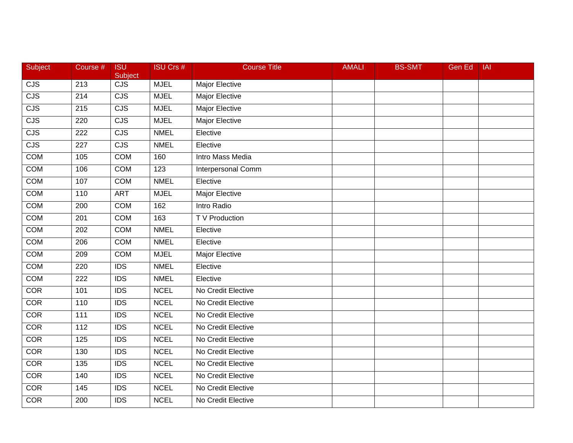| Subject    | Course #         | <b>ISU</b><br>Subject   | <b>ISU Crs #</b> | <b>Course Title</b>     | <b>AMALI</b> | <b>BS-SMT</b> | Gen Ed | <b>IAI</b> |
|------------|------------------|-------------------------|------------------|-------------------------|--------------|---------------|--------|------------|
| CJS        | $\overline{213}$ | $\overline{\text{CJS}}$ | <b>MJEL</b>      | Major Elective          |              |               |        |            |
| CJS        | 214              | CJS                     | <b>MJEL</b>      | <b>Major Elective</b>   |              |               |        |            |
| CJS        | 215              | CJS                     | <b>MJEL</b>      | <b>Major Elective</b>   |              |               |        |            |
| CJS        | 220              | CJS                     | <b>MJEL</b>      | <b>Major Elective</b>   |              |               |        |            |
| <b>CJS</b> | 222              | <b>CJS</b>              | <b>NMEL</b>      | Elective                |              |               |        |            |
| CJS        | 227              | <b>CJS</b>              | <b>NMEL</b>      | Elective                |              |               |        |            |
| <b>COM</b> | 105              | <b>COM</b>              | 160              | <b>Intro Mass Media</b> |              |               |        |            |
| <b>COM</b> | 106              | <b>COM</b>              | 123              | Interpersonal Comm      |              |               |        |            |
| COM        | 107              | <b>COM</b>              | <b>NMEL</b>      | Elective                |              |               |        |            |
| <b>COM</b> | 110              | <b>ART</b>              | <b>MJEL</b>      | Major Elective          |              |               |        |            |
| COM        | 200              | <b>COM</b>              | 162              | Intro Radio             |              |               |        |            |
| <b>COM</b> | 201              | <b>COM</b>              | 163              | T V Production          |              |               |        |            |
| <b>COM</b> | $\overline{202}$ | <b>COM</b>              | <b>NMEL</b>      | Elective                |              |               |        |            |
| <b>COM</b> | 206              | COM                     | <b>NMEL</b>      | Elective                |              |               |        |            |
| <b>COM</b> | 209              | <b>COM</b>              | <b>MJEL</b>      | <b>Major Elective</b>   |              |               |        |            |
| COM        | 220              | <b>IDS</b>              | <b>NMEL</b>      | Elective                |              |               |        |            |
| <b>COM</b> | 222              | IDS                     | <b>NMEL</b>      | Elective                |              |               |        |            |
| COR        | 101              | $\overline{IDS}$        | <b>NCEL</b>      | No Credit Elective      |              |               |        |            |
| <b>COR</b> | 110              | <b>IDS</b>              | <b>NCEL</b>      | No Credit Elective      |              |               |        |            |
| COR        | $\overline{111}$ | $\overline{IDS}$        | <b>NCEL</b>      | No Credit Elective      |              |               |        |            |
| <b>COR</b> | 112              | <b>IDS</b>              | <b>NCEL</b>      | No Credit Elective      |              |               |        |            |
| COR        | 125              | IDS                     | <b>NCEL</b>      | No Credit Elective      |              |               |        |            |
| COR        | 130              | $\overline{IDS}$        | <b>NCEL</b>      | No Credit Elective      |              |               |        |            |
| <b>COR</b> | 135              | $\overline{IDS}$        | <b>NCEL</b>      | No Credit Elective      |              |               |        |            |
| <b>COR</b> | 140              | <b>IDS</b>              | <b>NCEL</b>      | No Credit Elective      |              |               |        |            |
| <b>COR</b> | 145              | <b>IDS</b>              | <b>NCEL</b>      | No Credit Elective      |              |               |        |            |
| COR        | 200              | IDS                     | <b>NCEL</b>      | No Credit Elective      |              |               |        |            |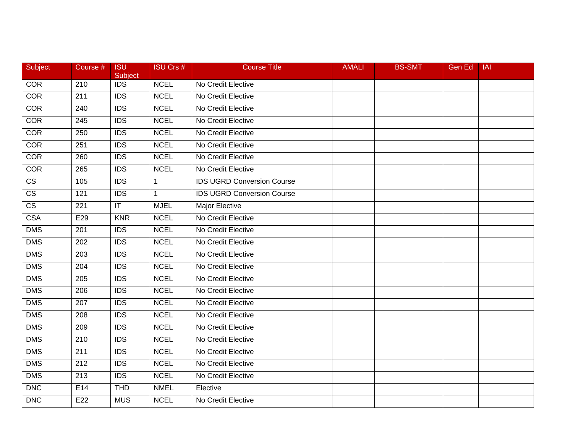| Subject                | Course # | <b>ISU</b><br>Subject | <b>ISU Crs #</b> | <b>Course Title</b>               | <b>AMALI</b> | <b>BS-SMT</b> | Gen Ed | <b>IAI</b> |
|------------------------|----------|-----------------------|------------------|-----------------------------------|--------------|---------------|--------|------------|
| <b>COR</b>             | 210      | <b>IDS</b>            | <b>NCEL</b>      | No Credit Elective                |              |               |        |            |
| <b>COR</b>             | 211      | <b>IDS</b>            | <b>NCEL</b>      | No Credit Elective                |              |               |        |            |
| COR                    | 240      | <b>IDS</b>            | <b>NCEL</b>      | No Credit Elective                |              |               |        |            |
| COR                    | 245      | <b>IDS</b>            | <b>NCEL</b>      | No Credit Elective                |              |               |        |            |
| <b>COR</b>             | 250      | <b>IDS</b>            | <b>NCEL</b>      | No Credit Elective                |              |               |        |            |
| <b>COR</b>             | 251      | <b>IDS</b>            | <b>NCEL</b>      | No Credit Elective                |              |               |        |            |
| COR                    | 260      | $\overline{IDS}$      | <b>NCEL</b>      | No Credit Elective                |              |               |        |            |
| <b>COR</b>             | 265      | <b>IDS</b>            | <b>NCEL</b>      | No Credit Elective                |              |               |        |            |
| $\overline{\text{cs}}$ | 105      | <b>IDS</b>            | $\mathbf{1}$     | <b>IDS UGRD Conversion Course</b> |              |               |        |            |
| $\overline{\text{CS}}$ | 121      | <b>IDS</b>            | $\mathbf{1}$     | <b>IDS UGRD Conversion Course</b> |              |               |        |            |
| <b>CS</b>              | 221      | IT                    | <b>MJEL</b>      | Major Elective                    |              |               |        |            |
| <b>CSA</b>             | E29      | <b>KNR</b>            | <b>NCEL</b>      | No Credit Elective                |              |               |        |            |
| <b>DMS</b>             | 201      | $\overline{IDS}$      | <b>NCEL</b>      | No Credit Elective                |              |               |        |            |
| <b>DMS</b>             | 202      | <b>IDS</b>            | <b>NCEL</b>      | No Credit Elective                |              |               |        |            |
| <b>DMS</b>             | 203      | <b>IDS</b>            | <b>NCEL</b>      | No Credit Elective                |              |               |        |            |
| <b>DMS</b>             | 204      | <b>IDS</b>            | <b>NCEL</b>      | No Credit Elective                |              |               |        |            |
| <b>DMS</b>             | 205      | $\overline{IDS}$      | <b>NCEL</b>      | No Credit Elective                |              |               |        |            |
| <b>DMS</b>             | 206      | $\overline{IDS}$      | <b>NCEL</b>      | No Credit Elective                |              |               |        |            |
| <b>DMS</b>             | 207      | <b>IDS</b>            | <b>NCEL</b>      | No Credit Elective                |              |               |        |            |
| <b>DMS</b>             | 208      | <b>IDS</b>            | <b>NCEL</b>      | No Credit Elective                |              |               |        |            |
| <b>DMS</b>             | 209      | <b>IDS</b>            | <b>NCEL</b>      | No Credit Elective                |              |               |        |            |
| <b>DMS</b>             | 210      | <b>IDS</b>            | <b>NCEL</b>      | No Credit Elective                |              |               |        |            |
| $\overline{DMS}$       | 211      | $\overline{IDS}$      | <b>NCEL</b>      | No Credit Elective                |              |               |        |            |
| <b>DMS</b>             | 212      | <b>IDS</b>            | <b>NCEL</b>      | No Credit Elective                |              |               |        |            |
| <b>DMS</b>             | 213      | <b>IDS</b>            | <b>NCEL</b>      | No Credit Elective                |              |               |        |            |
| <b>DNC</b>             | E14      | <b>THD</b>            | <b>NMEL</b>      | Elective                          |              |               |        |            |
| <b>DNC</b>             | E22      | <b>MUS</b>            | <b>NCEL</b>      | No Credit Elective                |              |               |        |            |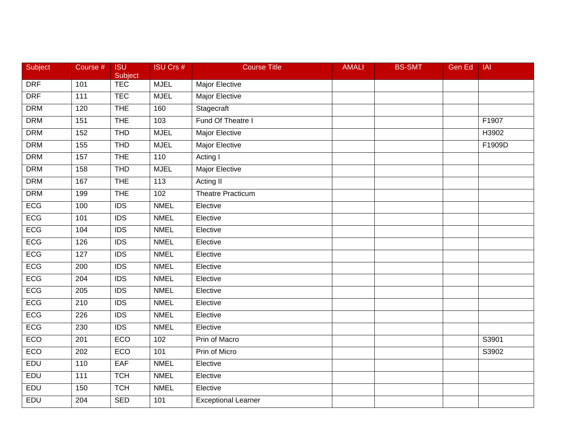| Subject    | Course #         | <b>ISU</b><br><b>Subject</b> | <b>ISU Crs #</b> | <b>Course Title</b>        | <b>AMALI</b> | <b>BS-SMT</b> | Gen Ed | IAI    |
|------------|------------------|------------------------------|------------------|----------------------------|--------------|---------------|--------|--------|
| <b>DRF</b> | 101              | <b>TEC</b>                   | <b>MJEL</b>      | Major Elective             |              |               |        |        |
| <b>DRF</b> | 111              | <b>TEC</b>                   | <b>MJEL</b>      | <b>Major Elective</b>      |              |               |        |        |
| <b>DRM</b> | 120              | <b>THE</b>                   | 160              | Stagecraft                 |              |               |        |        |
| <b>DRM</b> | 151              | <b>THE</b>                   | 103              | Fund Of Theatre I          |              |               |        | F1907  |
| <b>DRM</b> | 152              | <b>THD</b>                   | <b>MJEL</b>      | Major Elective             |              |               |        | H3902  |
| <b>DRM</b> | 155              | <b>THD</b>                   | <b>MJEL</b>      | <b>Major Elective</b>      |              |               |        | F1909D |
| <b>DRM</b> | 157              | <b>THE</b>                   | 110              | Acting I                   |              |               |        |        |
| <b>DRM</b> | 158              | <b>THD</b>                   | <b>MJEL</b>      | <b>Major Elective</b>      |              |               |        |        |
| <b>DRM</b> | 167              | <b>THE</b>                   | 113              | Acting II                  |              |               |        |        |
| <b>DRM</b> | 199              | <b>THE</b>                   | 102              | <b>Theatre Practicum</b>   |              |               |        |        |
| ECG        | 100              | <b>IDS</b>                   | <b>NMEL</b>      | Elective                   |              |               |        |        |
| ECG        | 101              | $\overline{IDS}$             | <b>NMEL</b>      | Elective                   |              |               |        |        |
| ECG        | 104              | $\overline{IDS}$             | <b>NMEL</b>      | Elective                   |              |               |        |        |
| ECG        | 126              | <b>IDS</b>                   | <b>NMEL</b>      | Elective                   |              |               |        |        |
| ECG        | 127              | <b>IDS</b>                   | <b>NMEL</b>      | Elective                   |              |               |        |        |
| ECG        | 200              | <b>IDS</b>                   | <b>NMEL</b>      | Elective                   |              |               |        |        |
| ECG        | $\overline{204}$ | $\overline{IDS}$             | <b>NMEL</b>      | Elective                   |              |               |        |        |
| ECG        | 205              | $\overline{IDS}$             | <b>NMEL</b>      | Elective                   |              |               |        |        |
| ECG        | 210              | <b>IDS</b>                   | <b>NMEL</b>      | Elective                   |              |               |        |        |
| ECG        | 226              | <b>IDS</b>                   | <b>NMEL</b>      | Elective                   |              |               |        |        |
| ECG        | 230              | $\overline{IDS}$             | <b>NMEL</b>      | Elective                   |              |               |        |        |
| ECO        | 201              | ECO                          | 102              | Prin of Macro              |              |               |        | S3901  |
| <b>ECO</b> | 202              | ECO                          | 101              | Prin of Micro              |              |               |        | S3902  |
| EDU        | 110              | <b>EAF</b>                   | <b>NMEL</b>      | Elective                   |              |               |        |        |
| EDU        | 111              | <b>TCH</b>                   | <b>NMEL</b>      | Elective                   |              |               |        |        |
| EDU        | 150              | <b>TCH</b>                   | <b>NMEL</b>      | Elective                   |              |               |        |        |
| EDU        | 204              | <b>SED</b>                   | 101              | <b>Exceptional Learner</b> |              |               |        |        |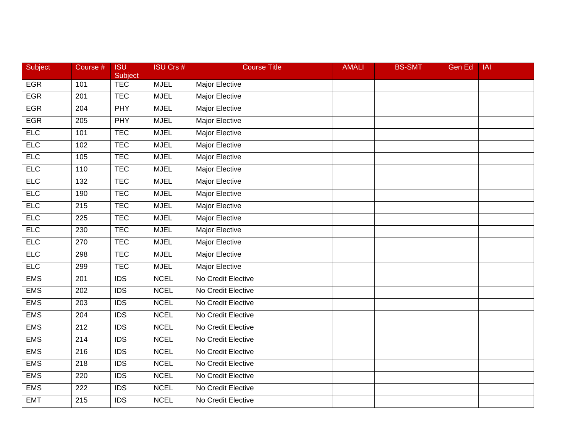| Subject    | Course #         | <b>ISU</b><br>Subject | <b>ISU Crs #</b> | <b>Course Title</b>   | <b>AMALI</b> | <b>BS-SMT</b> | <b>Gen Ed</b> | <b>IAI</b> |
|------------|------------------|-----------------------|------------------|-----------------------|--------------|---------------|---------------|------------|
| <b>EGR</b> | 101              | <b>TEC</b>            | <b>MJEL</b>      | Major Elective        |              |               |               |            |
| <b>EGR</b> | 201              | <b>TEC</b>            | <b>MJEL</b>      | <b>Major Elective</b> |              |               |               |            |
| <b>EGR</b> | 204              | <b>PHY</b>            | <b>MJEL</b>      | Major Elective        |              |               |               |            |
| <b>EGR</b> | 205              | <b>PHY</b>            | <b>MJEL</b>      | <b>Major Elective</b> |              |               |               |            |
| ELC        | 101              | <b>TEC</b>            | <b>MJEL</b>      | Major Elective        |              |               |               |            |
| <b>ELC</b> | 102              | <b>TEC</b>            | <b>MJEL</b>      | Major Elective        |              |               |               |            |
| <b>ELC</b> | 105              | <b>TEC</b>            | <b>MJEL</b>      | <b>Major Elective</b> |              |               |               |            |
| <b>ELC</b> | 110              | <b>TEC</b>            | <b>MJEL</b>      | <b>Major Elective</b> |              |               |               |            |
| <b>ELC</b> | 132              | <b>TEC</b>            | <b>MJEL</b>      | <b>Major Elective</b> |              |               |               |            |
| <b>ELC</b> | 190              | <b>TEC</b>            | <b>MJEL</b>      | Major Elective        |              |               |               |            |
| <b>ELC</b> | 215              | <b>TEC</b>            | <b>MJEL</b>      | Major Elective        |              |               |               |            |
| <b>ELC</b> | 225              | <b>TEC</b>            | <b>MJEL</b>      | <b>Major Elective</b> |              |               |               |            |
| <b>ELC</b> | 230              | <b>TEC</b>            | <b>MJEL</b>      | <b>Major Elective</b> |              |               |               |            |
| <b>ELC</b> | 270              | <b>TEC</b>            | <b>MJEL</b>      | Major Elective        |              |               |               |            |
| <b>ELC</b> | 298              | <b>TEC</b>            | <b>MJEL</b>      | <b>Major Elective</b> |              |               |               |            |
| <b>ELC</b> | 299              | <b>TEC</b>            | <b>MJEL</b>      | Major Elective        |              |               |               |            |
| <b>EMS</b> | 201              | IDS                   | <b>NCEL</b>      | No Credit Elective    |              |               |               |            |
| <b>EMS</b> | $\overline{202}$ | $\overline{IDS}$      | <b>NCEL</b>      | No Credit Elective    |              |               |               |            |
| <b>EMS</b> | 203              | <b>IDS</b>            | <b>NCEL</b>      | No Credit Elective    |              |               |               |            |
| <b>EMS</b> | $\overline{204}$ | $\overline{IDS}$      | <b>NCEL</b>      | No Credit Elective    |              |               |               |            |
| <b>EMS</b> | 212              | <b>IDS</b>            | <b>NCEL</b>      | No Credit Elective    |              |               |               |            |
| <b>EMS</b> | 214              | IDS                   | <b>NCEL</b>      | No Credit Elective    |              |               |               |            |
| <b>EMS</b> | $\overline{216}$ | $\overline{IDS}$      | <b>NCEL</b>      | No Credit Elective    |              |               |               |            |
| <b>EMS</b> | 218              | $\overline{IDS}$      | <b>NCEL</b>      | No Credit Elective    |              |               |               |            |
| <b>EMS</b> | 220              | <b>IDS</b>            | <b>NCEL</b>      | No Credit Elective    |              |               |               |            |
| <b>EMS</b> | 222              | <b>IDS</b>            | <b>NCEL</b>      | No Credit Elective    |              |               |               |            |
| <b>EMT</b> | 215              | $\overline{IDS}$      | <b>NCEL</b>      | No Credit Elective    |              |               |               |            |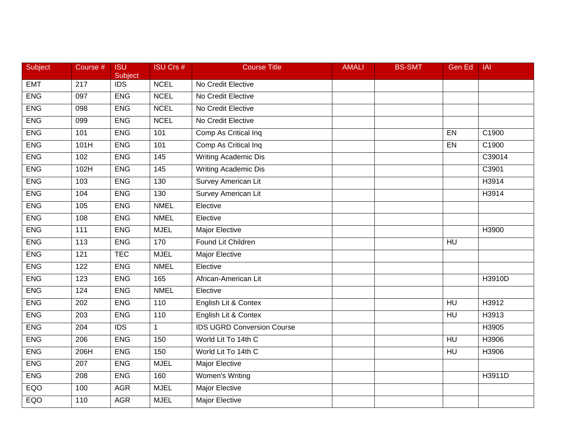| Subject    | Course #         | <b>ISU</b><br>Subject | <b>ISU Crs #</b>  | <b>Course Title</b>               | <b>AMALI</b> | <b>BS-SMT</b> | Gen Ed    | <b>IAI</b> |
|------------|------------------|-----------------------|-------------------|-----------------------------------|--------------|---------------|-----------|------------|
| <b>EMT</b> | $\overline{217}$ | <b>IDS</b>            | <b>NCEL</b>       | No Credit Elective                |              |               |           |            |
| <b>ENG</b> | 097              | <b>ENG</b>            | <b>NCEL</b>       | No Credit Elective                |              |               |           |            |
| <b>ENG</b> | 098              | <b>ENG</b>            | <b>NCEL</b>       | No Credit Elective                |              |               |           |            |
| <b>ENG</b> | 099              | <b>ENG</b>            | <b>NCEL</b>       | No Credit Elective                |              |               |           |            |
| <b>ENG</b> | 101              | <b>ENG</b>            | 101               | Comp As Critical Inq              |              |               | EN        | C1900      |
| <b>ENG</b> | 101H             | <b>ENG</b>            | 101               | Comp As Critical Inq              |              |               | EN        | C1900      |
| <b>ENG</b> | 102              | <b>ENG</b>            | $\frac{145}{145}$ | <b>Writing Academic Dis</b>       |              |               |           | C39014     |
| <b>ENG</b> | 102H             | <b>ENG</b>            | 145               | <b>Writing Academic Dis</b>       |              |               |           | C3901      |
| <b>ENG</b> | 103              | <b>ENG</b>            | 130               | <b>Survey American Lit</b>        |              |               |           | H3914      |
| <b>ENG</b> | 104              | <b>ENG</b>            | 130               | <b>Survey American Lit</b>        |              |               |           | H3914      |
| <b>ENG</b> | 105              | <b>ENG</b>            | <b>NMEL</b>       | Elective                          |              |               |           |            |
| <b>ENG</b> | 108              | <b>ENG</b>            | <b>NMEL</b>       | Elective                          |              |               |           |            |
| <b>ENG</b> | $\frac{111}{11}$ | <b>ENG</b>            | <b>MJEL</b>       | <b>Major Elective</b>             |              |               |           | H3900      |
| <b>ENG</b> | 113              | <b>ENG</b>            | 170               | Found Lit Children                |              |               | HU        |            |
| <b>ENG</b> | 121              | <b>TEC</b>            | <b>MJEL</b>       | <b>Major Elective</b>             |              |               |           |            |
| <b>ENG</b> | 122              | <b>ENG</b>            | <b>NMEL</b>       | Elective                          |              |               |           |            |
| <b>ENG</b> | 123              | <b>ENG</b>            | 165               | African-American Lit              |              |               |           | H3910D     |
| <b>ENG</b> | 124              | <b>ENG</b>            | <b>NMEL</b>       | Elective                          |              |               |           |            |
| <b>ENG</b> | 202              | <b>ENG</b>            | 110               | English Lit & Contex              |              |               | HU        | H3912      |
| <b>ENG</b> | 203              | <b>ENG</b>            | 110               | English Lit & Contex              |              |               | <b>HU</b> | H3913      |
| <b>ENG</b> | 204              | <b>IDS</b>            | $\mathbf{1}$      | <b>IDS UGRD Conversion Course</b> |              |               |           | H3905      |
| <b>ENG</b> | 206              | <b>ENG</b>            | 150               | World Lit To 14th C               |              |               | $H$ U     | H3906      |
| <b>ENG</b> | 206H             | <b>ENG</b>            | 150               | World Lit To 14th C               |              |               | <b>HU</b> | H3906      |
| <b>ENG</b> | 207              | <b>ENG</b>            | <b>MJEL</b>       | <b>Major Elective</b>             |              |               |           |            |
| <b>ENG</b> | 208              | <b>ENG</b>            | 160               | Women's Writing                   |              |               |           | H3911D     |
| EQO        | 100              | <b>AGR</b>            | <b>MJEL</b>       | Major Elective                    |              |               |           |            |
| EQO        | 110              | <b>AGR</b>            | <b>MJEL</b>       | <b>Major Elective</b>             |              |               |           |            |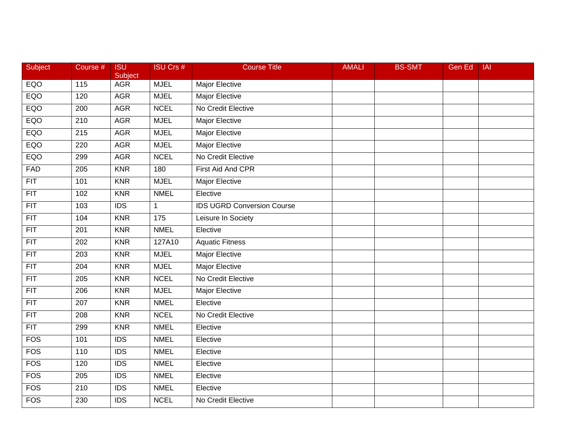| Subject          | Course #         | <b>ISU</b><br>Subject | <b>ISU Crs #</b> | <b>Course Title</b>               | <b>AMALI</b> | <b>BS-SMT</b> | <b>Gen Ed</b> | IAI |
|------------------|------------------|-----------------------|------------------|-----------------------------------|--------------|---------------|---------------|-----|
| EQO              | 115              | <b>AGR</b>            | <b>MJEL</b>      | Major Elective                    |              |               |               |     |
| EQO              | 120              | <b>AGR</b>            | <b>MJEL</b>      | <b>Major Elective</b>             |              |               |               |     |
| EQO              | 200              | <b>AGR</b>            | <b>NCEL</b>      | No Credit Elective                |              |               |               |     |
| EQO              | $\overline{210}$ | <b>AGR</b>            | <b>MJEL</b>      | <b>Major Elective</b>             |              |               |               |     |
| EQO              | 215              | <b>AGR</b>            | <b>MJEL</b>      | Major Elective                    |              |               |               |     |
| EQO              | 220              | <b>AGR</b>            | <b>MJEL</b>      | Major Elective                    |              |               |               |     |
| EQO              | 299              | <b>AGR</b>            | <b>NCEL</b>      | No Credit Elective                |              |               |               |     |
| <b>FAD</b>       | 205              | <b>KNR</b>            | 180              | First Aid And CPR                 |              |               |               |     |
| FIT              | 101              | <b>KNR</b>            | <b>MJEL</b>      | <b>Major Elective</b>             |              |               |               |     |
| $\overline{FIT}$ | 102              | <b>KNR</b>            | <b>NMEL</b>      | Elective                          |              |               |               |     |
| <b>FIT</b>       | 103              | <b>IDS</b>            | $\mathbf{1}$     | <b>IDS UGRD Conversion Course</b> |              |               |               |     |
| $\overline{FIT}$ | 104              | <b>KNR</b>            | 175              | Leisure In Society                |              |               |               |     |
| $\overline{FIT}$ | 201              | <b>KNR</b>            | <b>NMEL</b>      | Elective                          |              |               |               |     |
| FIT              | 202              | <b>KNR</b>            | 127A10           | <b>Aquatic Fitness</b>            |              |               |               |     |
| $\overline{FIT}$ | 203              | <b>KNR</b>            | <b>MJEL</b>      | <b>Major Elective</b>             |              |               |               |     |
| FIT              | 204              | <b>KNR</b>            | <b>MJEL</b>      | Major Elective                    |              |               |               |     |
| FIT              | 205              | <b>KNR</b>            | <b>NCEL</b>      | No Credit Elective                |              |               |               |     |
| $\overline{FIT}$ | $\overline{206}$ | <b>KNR</b>            | <b>MJEL</b>      | Major Elective                    |              |               |               |     |
| FIT              | 207              | <b>KNR</b>            | <b>NMEL</b>      | Elective                          |              |               |               |     |
| FIT              | $\overline{208}$ | <b>KNR</b>            | <b>NCEL</b>      | No Credit Elective                |              |               |               |     |
| FIT              | 299              | <b>KNR</b>            | <b>NMEL</b>      | Elective                          |              |               |               |     |
| <b>FOS</b>       | 101              | $\overline{IDS}$      | <b>NMEL</b>      | Elective                          |              |               |               |     |
| <b>FOS</b>       | 110              | $\overline{IDS}$      | <b>NMEL</b>      | Elective                          |              |               |               |     |
| FOS              | 120              | $\overline{IDS}$      | <b>NMEL</b>      | Elective                          |              |               |               |     |
| <b>FOS</b>       | 205              | <b>IDS</b>            | <b>NMEL</b>      | Elective                          |              |               |               |     |
| <b>FOS</b>       | 210              | <b>IDS</b>            | <b>NMEL</b>      | Elective                          |              |               |               |     |
| FOS              | 230              | IDS                   | <b>NCEL</b>      | No Credit Elective                |              |               |               |     |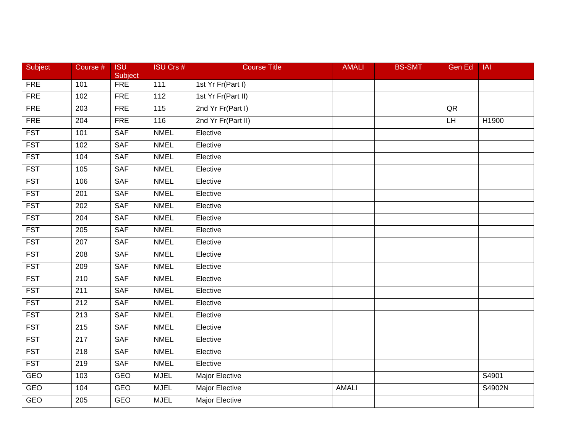| Subject    | Course #         | <b>ISU</b><br>Subject | <b>ISU Crs #</b> | <b>Course Title</b>   | <b>AMALI</b> | <b>BS-SMT</b> | Gen Ed | IAI                |
|------------|------------------|-----------------------|------------------|-----------------------|--------------|---------------|--------|--------------------|
| <b>FRE</b> | 101              | <b>FRE</b>            | 111              | 1st Yr Fr(Part I)     |              |               |        |                    |
| <b>FRE</b> | 102              | <b>FRE</b>            | 112              | 1st Yr Fr(Part II)    |              |               |        |                    |
| <b>FRE</b> | 203              | <b>FRE</b>            | 115              | 2nd Yr Fr(Part I)     |              |               | QR     |                    |
| <b>FRE</b> | 204              | <b>FRE</b>            | 116              | 2nd Yr Fr(Part II)    |              |               | LH     | H1900              |
| <b>FST</b> | 101              | <b>SAF</b>            | <b>NMEL</b>      | Elective              |              |               |        |                    |
| <b>FST</b> | 102              | <b>SAF</b>            | <b>NMEL</b>      | Elective              |              |               |        |                    |
| <b>FST</b> | 104              | <b>SAF</b>            | <b>NMEL</b>      | Elective              |              |               |        |                    |
| <b>FST</b> | $\frac{105}{2}$  | <b>SAF</b>            | <b>NMEL</b>      | Elective              |              |               |        |                    |
| <b>FST</b> | 106              | <b>SAF</b>            | <b>NMEL</b>      | Elective              |              |               |        |                    |
| <b>FST</b> | 201              | <b>SAF</b>            | <b>NMEL</b>      | Elective              |              |               |        |                    |
| <b>FST</b> | 202              | <b>SAF</b>            | <b>NMEL</b>      | Elective              |              |               |        |                    |
| <b>FST</b> | $\overline{204}$ | <b>SAF</b>            | <b>NMEL</b>      | Elective              |              |               |        |                    |
| <b>FST</b> | 205              | <b>SAF</b>            | <b>NMEL</b>      | Elective              |              |               |        |                    |
| <b>FST</b> | 207              | <b>SAF</b>            | <b>NMEL</b>      | Elective              |              |               |        |                    |
| <b>FST</b> | 208              | <b>SAF</b>            | <b>NMEL</b>      | Elective              |              |               |        |                    |
| <b>FST</b> | 209              | SAF                   | <b>NMEL</b>      | Elective              |              |               |        |                    |
| <b>FST</b> | 210              | <b>SAF</b>            | <b>NMEL</b>      | Elective              |              |               |        |                    |
| <b>FST</b> | 211              | <b>SAF</b>            | <b>NMEL</b>      | Elective              |              |               |        |                    |
| <b>FST</b> | 212              | <b>SAF</b>            | <b>NMEL</b>      | Elective              |              |               |        |                    |
| <b>FST</b> | 213              | <b>SAF</b>            | <b>NMEL</b>      | Elective              |              |               |        |                    |
| <b>FST</b> | 215              | <b>SAF</b>            | <b>NMEL</b>      | Elective              |              |               |        |                    |
| <b>FST</b> | $\overline{217}$ | <b>SAF</b>            | <b>NMEL</b>      | Elective              |              |               |        |                    |
| <b>FST</b> | $\overline{218}$ | <b>SAF</b>            | <b>NMEL</b>      | Elective              |              |               |        |                    |
| <b>FST</b> | 219              | <b>SAF</b>            | <b>NMEL</b>      | Elective              |              |               |        |                    |
| <b>GEO</b> | 103              | <b>GEO</b>            | <b>MJEL</b>      | Major Elective        |              |               |        | $\overline{S4901}$ |
| <b>GEO</b> | 104              | <b>GEO</b>            | <b>MJEL</b>      | Major Elective        | <b>AMALI</b> |               |        | S4902N             |
| GEO        | 205              | <b>GEO</b>            | <b>MJEL</b>      | <b>Major Elective</b> |              |               |        |                    |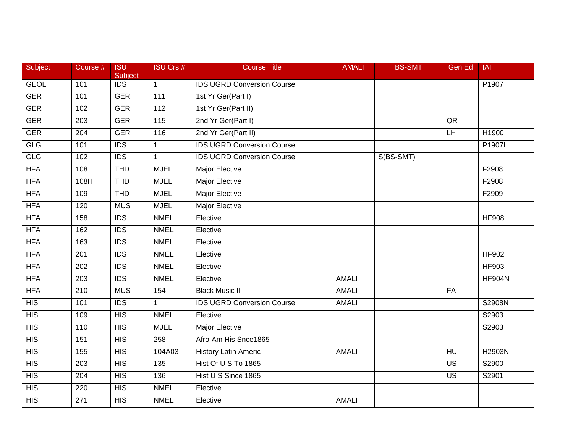| Subject          | Course #         | <b>ISU</b><br>Subject | <b>ISU Crs #</b>  | <b>Course Title</b>               | <b>AMALI</b> | <b>BS-SMT</b> | Gen Ed         | <b>IAI</b>    |
|------------------|------------------|-----------------------|-------------------|-----------------------------------|--------------|---------------|----------------|---------------|
| <b>GEOL</b>      | 101              | <b>IDS</b>            | $\mathbf{1}$      | <b>IDS UGRD Conversion Course</b> |              |               |                | P1907         |
| <b>GER</b>       | 101              | <b>GER</b>            | 111               | 1st Yr Ger(Part I)                |              |               |                |               |
| <b>GER</b>       | 102              | <b>GER</b>            | 112               | 1st Yr Ger(Part II)               |              |               |                |               |
| <b>GER</b>       | $\overline{203}$ | <b>GER</b>            | $\frac{115}{115}$ | 2nd Yr Ger(Part I)                |              |               | QR             |               |
| <b>GER</b>       | 204              | <b>GER</b>            | 116               | 2nd Yr Ger(Part II)               |              |               | LH             | H1900         |
| GLG              | 101              | <b>IDS</b>            | $\mathbf{1}$      | <b>IDS UGRD Conversion Course</b> |              |               |                | P1907L        |
| GLG              | 102              | $\overline{IDS}$      | $\mathbf{1}$      | <b>IDS UGRD Conversion Course</b> |              | S(BS-SMT)     |                |               |
| <b>HFA</b>       | 108              | <b>THD</b>            | <b>MJEL</b>       | <b>Major Elective</b>             |              |               |                | F2908         |
| <b>HFA</b>       | 108H             | <b>THD</b>            | <b>MJEL</b>       | <b>Major Elective</b>             |              |               |                | F2908         |
| <b>HFA</b>       | 109              | <b>THD</b>            | <b>MJEL</b>       | Major Elective                    |              |               |                | F2909         |
| <b>HFA</b>       | 120              | <b>MUS</b>            | <b>MJEL</b>       | Major Elective                    |              |               |                |               |
| <b>HFA</b>       | 158              | $\overline{IDS}$      | <b>NMEL</b>       | Elective                          |              |               |                | <b>HF908</b>  |
| <b>HFA</b>       | 162              | $\overline{IDS}$      | <b>NMEL</b>       | Elective                          |              |               |                |               |
| <b>HFA</b>       | 163              | <b>IDS</b>            | <b>NMEL</b>       | Elective                          |              |               |                |               |
| <b>HFA</b>       | 201              | $\overline{IDS}$      | <b>NMEL</b>       | Elective                          |              |               |                | <b>HF902</b>  |
| <b>HFA</b>       | 202              | <b>IDS</b>            | <b>NMEL</b>       | Elective                          |              |               |                | HF903         |
| <b>HFA</b>       | 203              | $\overline{IDS}$      | <b>NMEL</b>       | Elective                          | <b>AMALI</b> |               |                | <b>HF904N</b> |
| <b>HFA</b>       | $\overline{210}$ | <b>MUS</b>            | 154               | <b>Black Music II</b>             | <b>AMALI</b> |               | FA             |               |
| HIS              | 101              | <b>IDS</b>            | $\mathbf{1}$      | <b>IDS UGRD Conversion Course</b> | <b>AMALI</b> |               |                | S2908N        |
| $\overline{HIS}$ | 109              | $\overline{HIS}$      | <b>NMEL</b>       | Elective                          |              |               |                | S2903         |
| $\overline{HIS}$ | 110              | HIS                   | <b>MJEL</b>       | Major Elective                    |              |               |                | S2903         |
| $\overline{HIS}$ | 151              | HIS                   | 258               | Afro-Am His Snce1865              |              |               |                |               |
| $\overline{HIS}$ | 155              | HIS                   | 104A03            | <b>History Latin Americ</b>       | <b>AMALI</b> |               | H <sub>U</sub> | H2903N        |
| $\overline{HIS}$ | 203              | HIS                   | 135               | Hist Of U S To 1865               |              |               | <b>US</b>      | S2900         |
| <b>HIS</b>       | 204              | <b>HIS</b>            | 136               | Hist U S Since 1865               |              |               | US             | S2901         |
| $\overline{HIS}$ | 220              | <b>HIS</b>            | <b>NMEL</b>       | Elective                          |              |               |                |               |
| HIS              | 271              | HIS                   | <b>NMEL</b>       | Elective                          | <b>AMALI</b> |               |                |               |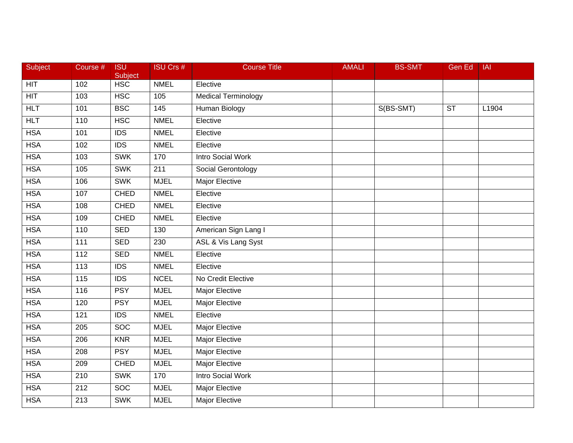| Subject    | Course #          | <b>ISU</b><br>Subject | <b>ISU Crs #</b> | <b>Course Title</b>        | <b>AMALI</b> | <b>BS-SMT</b> | <b>Gen Ed</b> | IAI   |
|------------|-------------------|-----------------------|------------------|----------------------------|--------------|---------------|---------------|-------|
| <b>HIT</b> | 102               | <b>HSC</b>            | <b>NMEL</b>      | Elective                   |              |               |               |       |
| HT         | 103               | <b>HSC</b>            | 105              | <b>Medical Terminology</b> |              |               |               |       |
| HLT        | 101               | <b>BSC</b>            | 145              | <b>Human Biology</b>       |              | S(BS-SMT)     | <b>ST</b>     | L1904 |
| HLT        | 110               | <b>HSC</b>            | <b>NMEL</b>      | Elective                   |              |               |               |       |
| <b>HSA</b> | 101               | <b>IDS</b>            | <b>NMEL</b>      | Elective                   |              |               |               |       |
| <b>HSA</b> | 102               | <b>IDS</b>            | <b>NMEL</b>      | Elective                   |              |               |               |       |
| <b>HSA</b> | 103               | <b>SWK</b>            | 170              | <b>Intro Social Work</b>   |              |               |               |       |
| <b>HSA</b> | 105               | <b>SWK</b>            | 211              | Social Gerontology         |              |               |               |       |
| <b>HSA</b> | 106               | <b>SWK</b>            | <b>MJEL</b>      | <b>Major Elective</b>      |              |               |               |       |
| <b>HSA</b> | 107               | <b>CHED</b>           | <b>NMEL</b>      | Elective                   |              |               |               |       |
| <b>HSA</b> | 108               | <b>CHED</b>           | <b>NMEL</b>      | Elective                   |              |               |               |       |
| <b>HSA</b> | 109               | <b>CHED</b>           | <b>NMEL</b>      | Elective                   |              |               |               |       |
| <b>HSA</b> | 110               | <b>SED</b>            | 130              | American Sign Lang I       |              |               |               |       |
| <b>HSA</b> | 111               | <b>SED</b>            | 230              | ASL & Vis Lang Syst        |              |               |               |       |
| <b>HSA</b> | $\frac{11}{2}$    | <b>SED</b>            | <b>NMEL</b>      | Elective                   |              |               |               |       |
| <b>HSA</b> | 113               | <b>IDS</b>            | <b>NMEL</b>      | Elective                   |              |               |               |       |
| <b>HSA</b> | $\frac{115}{115}$ | $\overline{IDS}$      | <b>NCEL</b>      | No Credit Elective         |              |               |               |       |
| <b>HSA</b> | 116               | <b>PSY</b>            | <b>MJEL</b>      | <b>Major Elective</b>      |              |               |               |       |
| <b>HSA</b> | 120               | <b>PSY</b>            | <b>MJEL</b>      | Major Elective             |              |               |               |       |
| <b>HSA</b> | 121               | <b>IDS</b>            | <b>NMEL</b>      | Elective                   |              |               |               |       |
| <b>HSA</b> | 205               | <b>SOC</b>            | <b>MJEL</b>      | Major Elective             |              |               |               |       |
| <b>HSA</b> | 206               | <b>KNR</b>            | <b>MJEL</b>      | <b>Major Elective</b>      |              |               |               |       |
| <b>HSA</b> | $\overline{208}$  | <b>PSY</b>            | <b>MJEL</b>      | <b>Major Elective</b>      |              |               |               |       |
| <b>HSA</b> | 209               | <b>CHED</b>           | <b>MJEL</b>      | <b>Major Elective</b>      |              |               |               |       |
| <b>HSA</b> | 210               | <b>SWK</b>            | 170              | <b>Intro Social Work</b>   |              |               |               |       |
| <b>HSA</b> | 212               | <b>SOC</b>            | <b>MJEL</b>      | Major Elective             |              |               |               |       |
| <b>HSA</b> | $\overline{213}$  | <b>SWK</b>            | <b>MJEL</b>      | <b>Major Elective</b>      |              |               |               |       |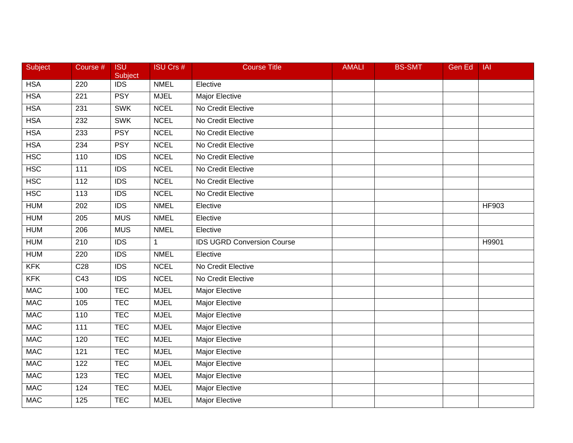| Subject    | Course #          | <b>ISU</b><br>Subject | <b>ISU Crs #</b> | <b>Course Title</b>               | <b>AMALI</b> | <b>BS-SMT</b> | Gen Ed | <b>IAI</b>   |
|------------|-------------------|-----------------------|------------------|-----------------------------------|--------------|---------------|--------|--------------|
| <b>HSA</b> | 220               | <b>IDS</b>            | <b>NMEL</b>      | Elective                          |              |               |        |              |
| <b>HSA</b> | 221               | <b>PSY</b>            | <b>MJEL</b>      | <b>Major Elective</b>             |              |               |        |              |
| <b>HSA</b> | 231               | <b>SWK</b>            | <b>NCEL</b>      | No Credit Elective                |              |               |        |              |
| <b>HSA</b> | 232               | <b>SWK</b>            | <b>NCEL</b>      | No Credit Elective                |              |               |        |              |
| <b>HSA</b> | 233               | <b>PSY</b>            | <b>NCEL</b>      | No Credit Elective                |              |               |        |              |
| <b>HSA</b> | 234               | <b>PSY</b>            | <b>NCEL</b>      | No Credit Elective                |              |               |        |              |
| <b>HSC</b> | 110               | $\overline{IDS}$      | <b>NCEL</b>      | No Credit Elective                |              |               |        |              |
| <b>HSC</b> | $\overline{111}$  | <b>IDS</b>            | <b>NCEL</b>      | No Credit Elective                |              |               |        |              |
| <b>HSC</b> | 112               | <b>IDS</b>            | <b>NCEL</b>      | No Credit Elective                |              |               |        |              |
| <b>HSC</b> | 113               | $\overline{IDS}$      | <b>NCEL</b>      | No Credit Elective                |              |               |        |              |
| <b>HUM</b> | 202               | <b>IDS</b>            | <b>NMEL</b>      | Elective                          |              |               |        | <b>HF903</b> |
| <b>HUM</b> | $\overline{205}$  | <b>MUS</b>            | <b>NMEL</b>      | Elective                          |              |               |        |              |
| <b>HUM</b> | $\overline{206}$  | <b>MUS</b>            | <b>NMEL</b>      | Elective                          |              |               |        |              |
| <b>HUM</b> | 210               | <b>IDS</b>            | 1                | <b>IDS UGRD Conversion Course</b> |              |               |        | H9901        |
| <b>HUM</b> | 220               | <b>IDS</b>            | <b>NMEL</b>      | Elective                          |              |               |        |              |
| <b>KFK</b> | C <sub>28</sub>   | <b>IDS</b>            | <b>NCEL</b>      | No Credit Elective                |              |               |        |              |
| <b>KFK</b> | $\overline{C43}$  | $\overline{IDS}$      | <b>NCEL</b>      | No Credit Elective                |              |               |        |              |
| <b>MAC</b> | 100               | <b>TEC</b>            | <b>MJEL</b>      | <b>Major Elective</b>             |              |               |        |              |
| <b>MAC</b> | 105               | <b>TEC</b>            | <b>MJEL</b>      | Major Elective                    |              |               |        |              |
| <b>MAC</b> | 110               | <b>TEC</b>            | <b>MJEL</b>      | Major Elective                    |              |               |        |              |
| <b>MAC</b> | $\frac{111}{111}$ | <b>TEC</b>            | <b>MJEL</b>      | <b>Major Elective</b>             |              |               |        |              |
| <b>MAC</b> | 120               | <b>TEC</b>            | <b>MJEL</b>      | Major Elective                    |              |               |        |              |
| <b>MAC</b> | 121               | <b>TEC</b>            | <b>MJEL</b>      | <b>Major Elective</b>             |              |               |        |              |
| <b>MAC</b> | 122               | <b>TEC</b>            | <b>MJEL</b>      | Major Elective                    |              |               |        |              |
| MAC        | 123               | <b>TEC</b>            | <b>MJEL</b>      | Major Elective                    |              |               |        |              |
| <b>MAC</b> | 124               | <b>TEC</b>            | <b>MJEL</b>      | Major Elective                    |              |               |        |              |
| <b>MAC</b> | 125               | <b>TEC</b>            | <b>MJEL</b>      | Major Elective                    |              |               |        |              |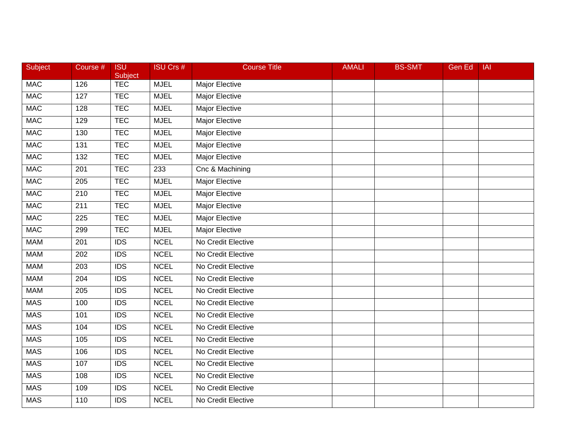| Subject    | Course #         | <b>ISU</b><br>Subject | <b>ISU Crs #</b> | <b>Course Title</b>   | <b>AMALI</b> | <b>BS-SMT</b> | <b>Gen Ed</b> | IAI |
|------------|------------------|-----------------------|------------------|-----------------------|--------------|---------------|---------------|-----|
| <b>MAC</b> | 126              | <b>TEC</b>            | <b>MJEL</b>      | Major Elective        |              |               |               |     |
| <b>MAC</b> | $\overline{127}$ | <b>TEC</b>            | <b>MJEL</b>      | Major Elective        |              |               |               |     |
| <b>MAC</b> | 128              | <b>TEC</b>            | <b>MJEL</b>      | Major Elective        |              |               |               |     |
| <b>MAC</b> | 129              | <b>TEC</b>            | <b>MJEL</b>      | Major Elective        |              |               |               |     |
| <b>MAC</b> | 130              | <b>TEC</b>            | <b>MJEL</b>      | Major Elective        |              |               |               |     |
| <b>MAC</b> | 131              | <b>TEC</b>            | <b>MJEL</b>      | Major Elective        |              |               |               |     |
| MAC        | 132              | <b>TEC</b>            | <b>MJEL</b>      | <b>Major Elective</b> |              |               |               |     |
| MAC        | 201              | <b>TEC</b>            | 233              | Cnc & Machining       |              |               |               |     |
| <b>MAC</b> | 205              | <b>TEC</b>            | <b>MJEL</b>      | Major Elective        |              |               |               |     |
| <b>MAC</b> | $\overline{210}$ | <b>TEC</b>            | <b>MJEL</b>      | Major Elective        |              |               |               |     |
| <b>MAC</b> | 211              | <b>TEC</b>            | <b>MJEL</b>      | Major Elective        |              |               |               |     |
| <b>MAC</b> | $\overline{225}$ | <b>TEC</b>            | <b>MJEL</b>      | <b>Major Elective</b> |              |               |               |     |
| <b>MAC</b> | 299              | <b>TEC</b>            | <b>MJEL</b>      | <b>Major Elective</b> |              |               |               |     |
| MAM        | 201              | <b>IDS</b>            | <b>NCEL</b>      | No Credit Elective    |              |               |               |     |
| <b>MAM</b> | 202              | <b>IDS</b>            | <b>NCEL</b>      | No Credit Elective    |              |               |               |     |
| <b>MAM</b> | 203              | <b>IDS</b>            | <b>NCEL</b>      | No Credit Elective    |              |               |               |     |
| <b>MAM</b> | 204              | $\overline{IDS}$      | <b>NCEL</b>      | No Credit Elective    |              |               |               |     |
| <b>MAM</b> | 205              | $\overline{IDS}$      | <b>NCEL</b>      | No Credit Elective    |              |               |               |     |
| <b>MAS</b> | 100              | <b>IDS</b>            | <b>NCEL</b>      | No Credit Elective    |              |               |               |     |
| <b>MAS</b> | 101              | <b>IDS</b>            | <b>NCEL</b>      | No Credit Elective    |              |               |               |     |
| <b>MAS</b> | 104              | $\overline{IDS}$      | <b>NCEL</b>      | No Credit Elective    |              |               |               |     |
| <b>MAS</b> | 105              | <b>IDS</b>            | <b>NCEL</b>      | No Credit Elective    |              |               |               |     |
| <b>MAS</b> | 106              | $\overline{IDS}$      | <b>NCEL</b>      | No Credit Elective    |              |               |               |     |
| <b>MAS</b> | 107              | <b>IDS</b>            | <b>NCEL</b>      | No Credit Elective    |              |               |               |     |
| MAS        | 108              | <b>IDS</b>            | <b>NCEL</b>      | No Credit Elective    |              |               |               |     |
| <b>MAS</b> | 109              | <b>IDS</b>            | <b>NCEL</b>      | No Credit Elective    |              |               |               |     |
| <b>MAS</b> | 110              | $\overline{IDS}$      | <b>NCEL</b>      | No Credit Elective    |              |               |               |     |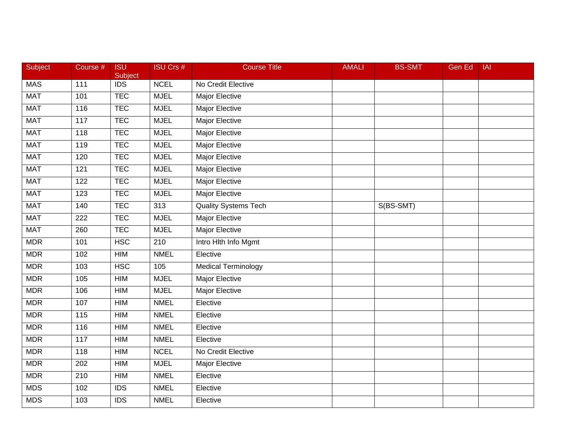| Subject    | Course #         | <b>ISU</b><br><b>Subject</b> | <b>ISU Crs #</b> | <b>Course Title</b>         | <b>AMALI</b> | <b>BS-SMT</b> | <b>Gen Ed</b> | <b>IAI</b> |
|------------|------------------|------------------------------|------------------|-----------------------------|--------------|---------------|---------------|------------|
| MAS        | 111              | <b>IDS</b>                   | <b>NCEL</b>      | No Credit Elective          |              |               |               |            |
| <b>MAT</b> | 101              | <b>TEC</b>                   | <b>MJEL</b>      | <b>Major Elective</b>       |              |               |               |            |
| <b>MAT</b> | 116              | <b>TEC</b>                   | <b>MJEL</b>      | <b>Major Elective</b>       |              |               |               |            |
| <b>MAT</b> | 117              | <b>TEC</b>                   | <b>MJEL</b>      | Major Elective              |              |               |               |            |
| <b>MAT</b> | 118              | <b>TEC</b>                   | <b>MJEL</b>      | Major Elective              |              |               |               |            |
| <b>MAT</b> | 119              | <b>TEC</b>                   | <b>MJEL</b>      | Major Elective              |              |               |               |            |
| <b>MAT</b> | 120              | <b>TEC</b>                   | <b>MJEL</b>      | <b>Major Elective</b>       |              |               |               |            |
| <b>MAT</b> | $\overline{121}$ | <b>TEC</b>                   | <b>MJEL</b>      | <b>Major Elective</b>       |              |               |               |            |
| <b>MAT</b> | 122              | <b>TEC</b>                   | <b>MJEL</b>      | Major Elective              |              |               |               |            |
| <b>MAT</b> | 123              | <b>TEC</b>                   | <b>MJEL</b>      | <b>Major Elective</b>       |              |               |               |            |
| <b>MAT</b> | 140              | <b>TEC</b>                   | 313              | <b>Quality Systems Tech</b> |              | S(BS-SMT)     |               |            |
| <b>MAT</b> | $\overline{222}$ | <b>TEC</b>                   | <b>MJEL</b>      | <b>Major Elective</b>       |              |               |               |            |
| <b>MAT</b> | 260              | <b>TEC</b>                   | <b>MJEL</b>      | <b>Major Elective</b>       |              |               |               |            |
| <b>MDR</b> | 101              | <b>HSC</b>                   | 210              | Intro Hith Info Mgmt        |              |               |               |            |
| <b>MDR</b> | 102              | HIM                          | <b>NMEL</b>      | Elective                    |              |               |               |            |
| <b>MDR</b> | 103              | <b>HSC</b>                   | 105              | <b>Medical Terminology</b>  |              |               |               |            |
| <b>MDR</b> | 105              | <b>HIM</b>                   | <b>MJEL</b>      | <b>Major Elective</b>       |              |               |               |            |
| <b>MDR</b> | 106              | <b>HIM</b>                   | <b>MJEL</b>      | <b>Major Elective</b>       |              |               |               |            |
| <b>MDR</b> | 107              | HIM                          | <b>NMEL</b>      | Elective                    |              |               |               |            |
| <b>MDR</b> | 115              | HIM                          | <b>NMEL</b>      | Elective                    |              |               |               |            |
| <b>MDR</b> | 116              | HIM                          | <b>NMEL</b>      | Elective                    |              |               |               |            |
| <b>MDR</b> | 117              | <b>HIM</b>                   | <b>NMEL</b>      | Elective                    |              |               |               |            |
| <b>MDR</b> | 118              | <b>HIM</b>                   | <b>NCEL</b>      | No Credit Elective          |              |               |               |            |
| <b>MDR</b> | 202              | HIM                          | <b>MJEL</b>      | <b>Major Elective</b>       |              |               |               |            |
| <b>MDR</b> | 210              | <b>HIM</b>                   | <b>NMEL</b>      | Elective                    |              |               |               |            |
| <b>MDS</b> | 102              | <b>IDS</b>                   | <b>NMEL</b>      | Elective                    |              |               |               |            |
| <b>MDS</b> | 103              | IDS                          | <b>NMEL</b>      | Elective                    |              |               |               |            |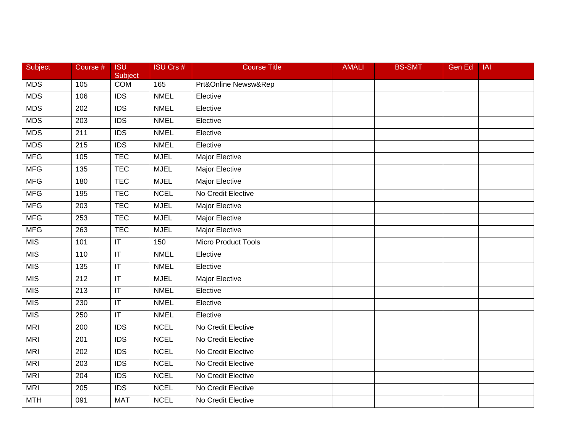| <b>Subject</b> | Course #         | <b>ISU</b><br>Subject             | <b>ISU Crs #</b> | <b>Course Title</b>   | <b>AMALI</b> | <b>BS-SMT</b> | <b>Gen Ed</b> | <b>IAI</b> |
|----------------|------------------|-----------------------------------|------------------|-----------------------|--------------|---------------|---------------|------------|
| <b>MDS</b>     | 105              | <b>COM</b>                        | 165              | Prt&Online Newsw&Rep  |              |               |               |            |
| <b>MDS</b>     | 106              | $\overline{IDS}$                  | <b>NMEL</b>      | Elective              |              |               |               |            |
| <b>MDS</b>     | 202              | $\overline{IDS}$                  | <b>NMEL</b>      | Elective              |              |               |               |            |
| <b>MDS</b>     | 203              | $\overline{IDS}$                  | <b>NMEL</b>      | Elective              |              |               |               |            |
| <b>MDS</b>     | 211              | <b>IDS</b>                        | <b>NMEL</b>      | Elective              |              |               |               |            |
| <b>MDS</b>     | 215              | <b>IDS</b>                        | <b>NMEL</b>      | Elective              |              |               |               |            |
| <b>MFG</b>     | 105              | <b>TEC</b>                        | <b>MJEL</b>      | <b>Major Elective</b> |              |               |               |            |
| MFG            | 135              | <b>TEC</b>                        | <b>MJEL</b>      | <b>Major Elective</b> |              |               |               |            |
| <b>MFG</b>     | 180              | <b>TEC</b>                        | <b>MJEL</b>      | <b>Major Elective</b> |              |               |               |            |
| <b>MFG</b>     | 195              | <b>TEC</b>                        | <b>NCEL</b>      | No Credit Elective    |              |               |               |            |
| <b>MFG</b>     | 203              | <b>TEC</b>                        | <b>MJEL</b>      | Major Elective        |              |               |               |            |
| <b>MFG</b>     | 253              | <b>TEC</b>                        | <b>MJEL</b>      | <b>Major Elective</b> |              |               |               |            |
| <b>MFG</b>     | 263              | <b>TEC</b>                        | <b>MJEL</b>      | <b>Major Elective</b> |              |               |               |            |
| MIS            | 101              | $\overline{\mathsf{I}\mathsf{T}}$ | 150              | Micro Product Tools   |              |               |               |            |
| MIS            | 110              | $\overline{\mathbb{L}}$           | <b>NMEL</b>      | Elective              |              |               |               |            |
| <b>MIS</b>     | 135              | $\mathsf{I}\mathsf{T}$            | <b>NMEL</b>      | Elective              |              |               |               |            |
| MIS            | $\overline{212}$ | $\overline{\mathbb{T}}$           | <b>MJEL</b>      | <b>Major Elective</b> |              |               |               |            |
| MIS            | $\overline{213}$ | $\overline{\mathsf{I}\mathsf{T}}$ | <b>NMEL</b>      | Elective              |              |               |               |            |
| <b>MIS</b>     | 230              | $\sf IT$                          | <b>NMEL</b>      | Elective              |              |               |               |            |
| MIS            | 250              | $\overline{\mathbb{L}}$           | <b>NMEL</b>      | Elective              |              |               |               |            |
| <b>MRI</b>     | 200              | $\overline{IDS}$                  | <b>NCEL</b>      | No Credit Elective    |              |               |               |            |
| <b>MRI</b>     | 201              | $\overline{IDS}$                  | <b>NCEL</b>      | No Credit Elective    |              |               |               |            |
| <b>MRI</b>     | 202              | $\overline{IDS}$                  | <b>NCEL</b>      | No Credit Elective    |              |               |               |            |
| <b>MRI</b>     | 203              | $\overline{IDS}$                  | <b>NCEL</b>      | No Credit Elective    |              |               |               |            |
| <b>MRI</b>     | 204              | <b>IDS</b>                        | <b>NCEL</b>      | No Credit Elective    |              |               |               |            |
| <b>MRI</b>     | 205              | <b>IDS</b>                        | <b>NCEL</b>      | No Credit Elective    |              |               |               |            |
| <b>MTH</b>     | 091              | <b>MAT</b>                        | <b>NCEL</b>      | No Credit Elective    |              |               |               |            |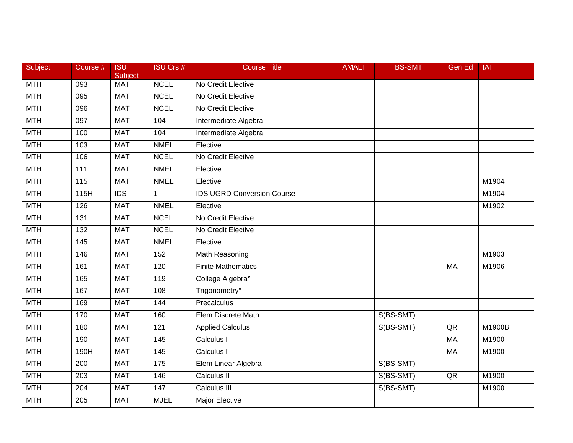| Subject    | Course #         | <b>ISU</b><br>Subject | <b>ISU Crs #</b>  | <b>Course Title</b>               | <b>AMALI</b> | <b>BS-SMT</b> | Gen Ed    | <b>IAI</b> |
|------------|------------------|-----------------------|-------------------|-----------------------------------|--------------|---------------|-----------|------------|
| <b>MTH</b> | 093              | <b>MAT</b>            | <b>NCEL</b>       | No Credit Elective                |              |               |           |            |
| <b>MTH</b> | 095              | <b>MAT</b>            | <b>NCEL</b>       | No Credit Elective                |              |               |           |            |
| <b>MTH</b> | 096              | <b>MAT</b>            | <b>NCEL</b>       | No Credit Elective                |              |               |           |            |
| <b>MTH</b> | 097              | <b>MAT</b>            | 104               | Intermediate Algebra              |              |               |           |            |
| <b>MTH</b> | 100              | <b>MAT</b>            | 104               | Intermediate Algebra              |              |               |           |            |
| <b>MTH</b> | 103              | <b>MAT</b>            | <b>NMEL</b>       | Elective                          |              |               |           |            |
| <b>MTH</b> | 106              | <b>MAT</b>            | <b>NCEL</b>       | No Credit Elective                |              |               |           |            |
| <b>MTH</b> | 111              | <b>MAT</b>            | <b>NMEL</b>       | Elective                          |              |               |           |            |
| <b>MTH</b> | 115              | <b>MAT</b>            | <b>NMEL</b>       | Elective                          |              |               |           | M1904      |
| <b>MTH</b> | 115H             | $\overline{IDS}$      | $\mathbf{1}$      | <b>IDS UGRD Conversion Course</b> |              |               |           | M1904      |
| <b>MTH</b> | 126              | <b>MAT</b>            | <b>NMEL</b>       | Elective                          |              |               |           | M1902      |
| <b>MTH</b> | $\overline{131}$ | <b>MAT</b>            | <b>NCEL</b>       | No Credit Elective                |              |               |           |            |
| <b>MTH</b> | $\overline{132}$ | <b>MAT</b>            | <b>NCEL</b>       | No Credit Elective                |              |               |           |            |
| <b>MTH</b> | 145              | <b>MAT</b>            | <b>NMEL</b>       | Elective                          |              |               |           |            |
| <b>MTH</b> | 146              | <b>MAT</b>            | 152               | Math Reasoning                    |              |               |           | M1903      |
| <b>MTH</b> | 161              | <b>MAT</b>            | 120               | <b>Finite Mathematics</b>         |              |               | MA        | M1906      |
| <b>MTH</b> | 165              | <b>MAT</b>            | 119               | College Algebra*                  |              |               |           |            |
| <b>MTH</b> | 167              | <b>MAT</b>            | 108               | Trigonometry*                     |              |               |           |            |
| <b>MTH</b> | 169              | <b>MAT</b>            | 144               | Precalculus                       |              |               |           |            |
| <b>MTH</b> | 170              | <b>MAT</b>            | 160               | Elem Discrete Math                |              | S(BS-SMT)     |           |            |
| <b>MTH</b> | 180              | <b>MAT</b>            | 121               | <b>Applied Calculus</b>           |              | S(BS-SMT)     | QR        | M1900B     |
| <b>MTH</b> | 190              | <b>MAT</b>            | 145               | Calculus I                        |              |               | <b>MA</b> | M1900      |
| <b>MTH</b> | 190H             | <b>MAT</b>            | $\frac{145}{145}$ | Calculus I                        |              |               | MA        | M1900      |
| <b>MTH</b> | 200              | <b>MAT</b>            | 175               | Elem Linear Algebra               |              | S(BS-SMT)     |           |            |
| <b>MTH</b> | 203              | <b>MAT</b>            | 146               | Calculus II                       |              | S(BS-SMT)     | QR        | M1900      |
| <b>MTH</b> | 204              | <b>MAT</b>            | 147               | Calculus III                      |              | S(BS-SMT)     |           | M1900      |
| <b>MTH</b> | 205              | <b>MAT</b>            | <b>MJEL</b>       | Major Elective                    |              |               |           |            |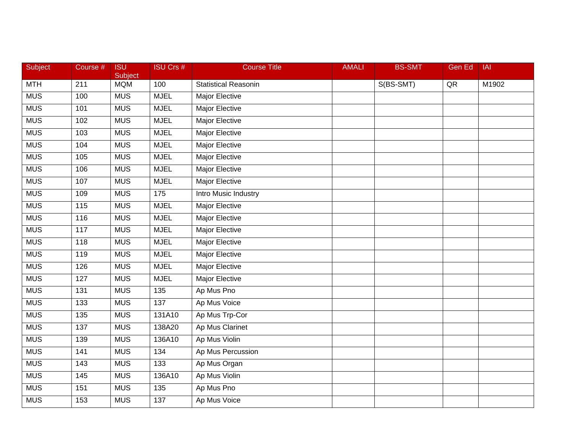| Subject    | Course #          | <b>ISU</b><br>Subject | <b>ISU Crs #</b> | <b>Course Title</b>         | <b>AMALI</b> | <b>BS-SMT</b> | Gen Ed     | <b>IAI</b>        |
|------------|-------------------|-----------------------|------------------|-----------------------------|--------------|---------------|------------|-------------------|
| MTH        | 211               | <b>MQM</b>            | 100              | <b>Statistical Reasonin</b> |              | S(BS-SMT)     | ${\sf QR}$ | M <sub>1902</sub> |
| <b>MUS</b> | 100               | <b>MUS</b>            | <b>MJEL</b>      | Major Elective              |              |               |            |                   |
| <b>MUS</b> | 101               | <b>MUS</b>            | <b>MJEL</b>      | Major Elective              |              |               |            |                   |
| <b>MUS</b> | 102               | <b>MUS</b>            | <b>MJEL</b>      | Major Elective              |              |               |            |                   |
| <b>MUS</b> | 103               | <b>MUS</b>            | <b>MJEL</b>      | Major Elective              |              |               |            |                   |
| <b>MUS</b> | 104               | <b>MUS</b>            | <b>MJEL</b>      | Major Elective              |              |               |            |                   |
| <b>MUS</b> | 105               | <b>MUS</b>            | <b>MJEL</b>      | <b>Major Elective</b>       |              |               |            |                   |
| <b>MUS</b> | 106               | <b>MUS</b>            | <b>MJEL</b>      | <b>Major Elective</b>       |              |               |            |                   |
| <b>MUS</b> | 107               | <b>MUS</b>            | <b>MJEL</b>      | Major Elective              |              |               |            |                   |
| <b>MUS</b> | 109               | <b>MUS</b>            | 175              | Intro Music Industry        |              |               |            |                   |
| <b>MUS</b> | 115               | <b>MUS</b>            | <b>MJEL</b>      | Major Elective              |              |               |            |                   |
| <b>MUS</b> | 116               | <b>MUS</b>            | <b>MJEL</b>      | <b>Major Elective</b>       |              |               |            |                   |
| <b>MUS</b> | $\frac{117}{117}$ | <b>MUS</b>            | <b>MJEL</b>      | <b>Major Elective</b>       |              |               |            |                   |
| <b>MUS</b> | 118               | <b>MUS</b>            | <b>MJEL</b>      | Major Elective              |              |               |            |                   |
| <b>MUS</b> | 119               | <b>MUS</b>            | <b>MJEL</b>      | Major Elective              |              |               |            |                   |
| <b>MUS</b> | 126               | <b>MUS</b>            | <b>MJEL</b>      | Major Elective              |              |               |            |                   |
| <b>MUS</b> | 127               | <b>MUS</b>            | <b>MJEL</b>      | <b>Major Elective</b>       |              |               |            |                   |
| <b>MUS</b> | 131               | <b>MUS</b>            | 135              | Ap Mus Pno                  |              |               |            |                   |
| <b>MUS</b> | 133               | <b>MUS</b>            | 137              | Ap Mus Voice                |              |               |            |                   |
| MUS        | 135               | <b>MUS</b>            | 131A10           | Ap Mus Trp-Cor              |              |               |            |                   |
| <b>MUS</b> | 137               | <b>MUS</b>            | 138A20           | Ap Mus Clarinet             |              |               |            |                   |
| <b>MUS</b> | 139               | <b>MUS</b>            | 136A10           | Ap Mus Violin               |              |               |            |                   |
| <b>MUS</b> | 141               | <b>MUS</b>            | 134              | Ap Mus Percussion           |              |               |            |                   |
| <b>MUS</b> | 143               | <b>MUS</b>            | 133              | Ap Mus Organ                |              |               |            |                   |
| <b>MUS</b> | 145               | <b>MUS</b>            | 136A10           | Ap Mus Violin               |              |               |            |                   |
| <b>MUS</b> | 151               | <b>MUS</b>            | 135              | Ap Mus Pno                  |              |               |            |                   |
| <b>MUS</b> | 153               | <b>MUS</b>            | 137              | Ap Mus Voice                |              |               |            |                   |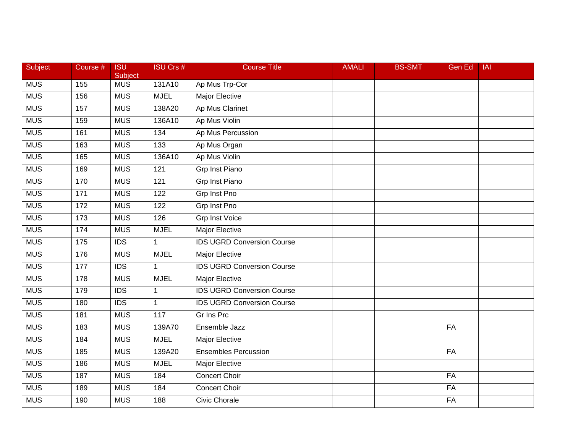| Subject    | Course # | <b>ISU</b><br>Subject | <b>ISU Crs #</b> | <b>Course Title</b>               | <b>AMALI</b> | <b>BS-SMT</b> | <b>Gen Ed</b> | <b>IAI</b> |
|------------|----------|-----------------------|------------------|-----------------------------------|--------------|---------------|---------------|------------|
| <b>MUS</b> | 155      | <b>MUS</b>            | 131A10           | Ap Mus Trp-Cor                    |              |               |               |            |
| <b>MUS</b> | 156      | <b>MUS</b>            | <b>MJEL</b>      | <b>Major Elective</b>             |              |               |               |            |
| <b>MUS</b> | 157      | <b>MUS</b>            | 138A20           | Ap Mus Clarinet                   |              |               |               |            |
| <b>MUS</b> | 159      | <b>MUS</b>            | 136A10           | Ap Mus Violin                     |              |               |               |            |
| <b>MUS</b> | 161      | <b>MUS</b>            | 134              | Ap Mus Percussion                 |              |               |               |            |
| <b>MUS</b> | 163      | <b>MUS</b>            | 133              | Ap Mus Organ                      |              |               |               |            |
| <b>MUS</b> | 165      | <b>MUS</b>            | 136A10           | Ap Mus Violin                     |              |               |               |            |
| <b>MUS</b> | 169      | <b>MUS</b>            | 121              | <b>Grp Inst Piano</b>             |              |               |               |            |
| <b>MUS</b> | 170      | <b>MUS</b>            | $\overline{121}$ | <b>Grp Inst Piano</b>             |              |               |               |            |
| <b>MUS</b> | 171      | <b>MUS</b>            | 122              | Grp Inst Pno                      |              |               |               |            |
| <b>MUS</b> | 172      | <b>MUS</b>            | 122              | Grp Inst Pno                      |              |               |               |            |
| <b>MUS</b> | 173      | <b>MUS</b>            | 126              | <b>Grp Inst Voice</b>             |              |               |               |            |
| <b>MUS</b> | 174      | <b>MUS</b>            | <b>MJEL</b>      | <b>Major Elective</b>             |              |               |               |            |
| <b>MUS</b> | 175      | <b>IDS</b>            | $\mathbf{1}$     | <b>IDS UGRD Conversion Course</b> |              |               |               |            |
| <b>MUS</b> | 176      | <b>MUS</b>            | <b>MJEL</b>      | Major Elective                    |              |               |               |            |
| <b>MUS</b> | 177      | <b>IDS</b>            | $\mathbf{1}$     | <b>IDS UGRD Conversion Course</b> |              |               |               |            |
| <b>MUS</b> | 178      | <b>MUS</b>            | <b>MJEL</b>      | <b>Major Elective</b>             |              |               |               |            |
| <b>MUS</b> | 179      | IDS                   | $\mathbf{1}$     | <b>IDS UGRD Conversion Course</b> |              |               |               |            |
| <b>MUS</b> | 180      | <b>IDS</b>            | $\mathbf 1$      | <b>IDS UGRD Conversion Course</b> |              |               |               |            |
| <b>MUS</b> | 181      | <b>MUS</b>            | 117              | <b>Gr Ins Prc</b>                 |              |               |               |            |
| <b>MUS</b> | 183      | <b>MUS</b>            | 139A70           | Ensemble Jazz                     |              |               | FA            |            |
| <b>MUS</b> | 184      | <b>MUS</b>            | <b>MJEL</b>      | <b>Major Elective</b>             |              |               |               |            |
| <b>MUS</b> | 185      | <b>MUS</b>            | 139A20           | <b>Ensembles Percussion</b>       |              |               | FA            |            |
| <b>MUS</b> | 186      | <b>MUS</b>            | <b>MJEL</b>      | <b>Major Elective</b>             |              |               |               |            |
| <b>MUS</b> | 187      | <b>MUS</b>            | 184              | <b>Concert Choir</b>              |              |               | FA            |            |
| <b>MUS</b> | 189      | <b>MUS</b>            | 184              | <b>Concert Choir</b>              |              |               | FA            |            |
| <b>MUS</b> | 190      | <b>MUS</b>            | 188              | <b>Civic Chorale</b>              |              |               | FA            |            |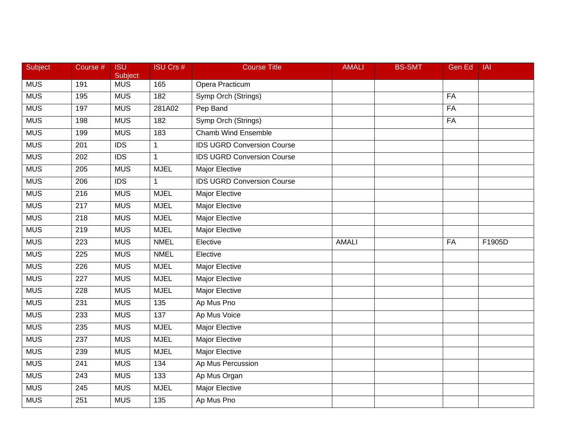| Subject    | Course #         | <b>ISU</b><br>Subject | <b>ISU Crs #</b> | <b>Course Title</b>               | <b>AMALI</b> | <b>BS-SMT</b> | <b>Gen Ed</b> | <b>IAI</b> |
|------------|------------------|-----------------------|------------------|-----------------------------------|--------------|---------------|---------------|------------|
| <b>MUS</b> | 191              | <b>MUS</b>            | 165              | Opera Practicum                   |              |               |               |            |
| <b>MUS</b> | 195              | <b>MUS</b>            | 182              | Symp Orch (Strings)               |              |               | FA            |            |
| <b>MUS</b> | 197              | <b>MUS</b>            | 281A02           | Pep Band                          |              |               | FA            |            |
| <b>MUS</b> | 198              | <b>MUS</b>            | 182              | Symp Orch (Strings)               |              |               | FA            |            |
| <b>MUS</b> | 199              | <b>MUS</b>            | 183              | <b>Chamb Wind Ensemble</b>        |              |               |               |            |
| <b>MUS</b> | 201              | <b>IDS</b>            | $\mathbf{1}$     | <b>IDS UGRD Conversion Course</b> |              |               |               |            |
| <b>MUS</b> | 202              | $\overline{IDS}$      | $\mathbf{1}$     | <b>IDS UGRD Conversion Course</b> |              |               |               |            |
| MUS        | 205              | <b>MUS</b>            | <b>MJEL</b>      | <b>Major Elective</b>             |              |               |               |            |
| <b>MUS</b> | 206              | <b>IDS</b>            | $\mathbf{1}$     | <b>IDS UGRD Conversion Course</b> |              |               |               |            |
| <b>MUS</b> | 216              | <b>MUS</b>            | <b>MJEL</b>      | Major Elective                    |              |               |               |            |
| <b>MUS</b> | 217              | <b>MUS</b>            | <b>MJEL</b>      | Major Elective                    |              |               |               |            |
| <b>MUS</b> | 218              | <b>MUS</b>            | <b>MJEL</b>      | <b>Major Elective</b>             |              |               |               |            |
| <b>MUS</b> | $\overline{219}$ | <b>MUS</b>            | <b>MJEL</b>      | <b>Major Elective</b>             |              |               |               |            |
| <b>MUS</b> | 223              | <b>MUS</b>            | <b>NMEL</b>      | Elective                          | <b>AMALI</b> |               | FA            | F1905D     |
| <b>MUS</b> | 225              | <b>MUS</b>            | <b>NMEL</b>      | Elective                          |              |               |               |            |
| <b>MUS</b> | 226              | <b>MUS</b>            | <b>MJEL</b>      | Major Elective                    |              |               |               |            |
| MUS        | 227              | <b>MUS</b>            | <b>MJEL</b>      | <b>Major Elective</b>             |              |               |               |            |
| <b>MUS</b> | 228              | <b>MUS</b>            | <b>MJEL</b>      | <b>Major Elective</b>             |              |               |               |            |
| <b>MUS</b> | 231              | <b>MUS</b>            | 135              | Ap Mus Pno                        |              |               |               |            |
| <b>MUS</b> | 233              | <b>MUS</b>            | 137              | Ap Mus Voice                      |              |               |               |            |
| <b>MUS</b> | 235              | <b>MUS</b>            | <b>MJEL</b>      | <b>Major Elective</b>             |              |               |               |            |
| <b>MUS</b> | 237              | <b>MUS</b>            | <b>MJEL</b>      | <b>Major Elective</b>             |              |               |               |            |
| <b>MUS</b> | 239              | <b>MUS</b>            | <b>MJEL</b>      | <b>Major Elective</b>             |              |               |               |            |
| <b>MUS</b> | 241              | <b>MUS</b>            | 134              | Ap Mus Percussion                 |              |               |               |            |
| <b>MUS</b> | 243              | <b>MUS</b>            | 133              | Ap Mus Organ                      |              |               |               |            |
| <b>MUS</b> | 245              | <b>MUS</b>            | <b>MJEL</b>      | <b>Major Elective</b>             |              |               |               |            |
| <b>MUS</b> | 251              | <b>MUS</b>            | $\overline{135}$ | Ap Mus Pno                        |              |               |               |            |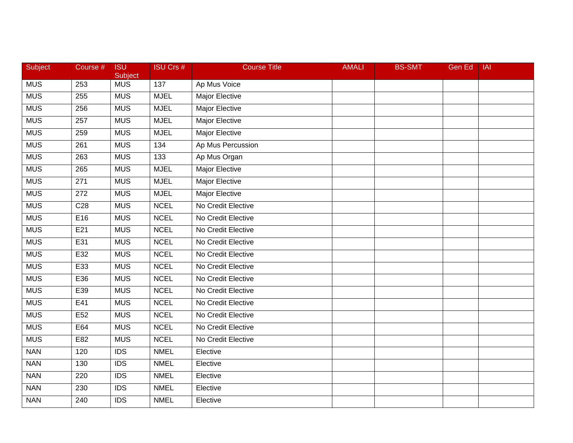| Subject    | Course #        | <b>ISU</b><br>Subject | <b>ISU Crs #</b> | <b>Course Title</b>   | <b>AMALI</b> | <b>BS-SMT</b> | <b>Gen Ed</b> | <b>IAI</b> |
|------------|-----------------|-----------------------|------------------|-----------------------|--------------|---------------|---------------|------------|
| <b>MUS</b> | 253             | <b>MUS</b>            | 137              | Ap Mus Voice          |              |               |               |            |
| <b>MUS</b> | 255             | <b>MUS</b>            | <b>MJEL</b>      | <b>Major Elective</b> |              |               |               |            |
| <b>MUS</b> | 256             | <b>MUS</b>            | <b>MJEL</b>      | <b>Major Elective</b> |              |               |               |            |
| <b>MUS</b> | 257             | <b>MUS</b>            | <b>MJEL</b>      | Major Elective        |              |               |               |            |
| <b>MUS</b> | 259             | <b>MUS</b>            | <b>MJEL</b>      | Major Elective        |              |               |               |            |
| <b>MUS</b> | 261             | <b>MUS</b>            | 134              | Ap Mus Percussion     |              |               |               |            |
| <b>MUS</b> | 263             | <b>MUS</b>            | 133              | Ap Mus Organ          |              |               |               |            |
| <b>MUS</b> | 265             | <b>MUS</b>            | <b>MJEL</b>      | <b>Major Elective</b> |              |               |               |            |
| <b>MUS</b> | 271             | <b>MUS</b>            | <b>MJEL</b>      | Major Elective        |              |               |               |            |
| <b>MUS</b> | 272             | <b>MUS</b>            | <b>MJEL</b>      | <b>Major Elective</b> |              |               |               |            |
| <b>MUS</b> | C <sub>28</sub> | <b>MUS</b>            | <b>NCEL</b>      | No Credit Elective    |              |               |               |            |
| <b>MUS</b> | E16             | <b>MUS</b>            | <b>NCEL</b>      | No Credit Elective    |              |               |               |            |
| <b>MUS</b> | E21             | <b>MUS</b>            | <b>NCEL</b>      | No Credit Elective    |              |               |               |            |
| <b>MUS</b> | E31             | <b>MUS</b>            | <b>NCEL</b>      | No Credit Elective    |              |               |               |            |
| <b>MUS</b> | E32             | <b>MUS</b>            | <b>NCEL</b>      | No Credit Elective    |              |               |               |            |
| <b>MUS</b> | E33             | <b>MUS</b>            | <b>NCEL</b>      | No Credit Elective    |              |               |               |            |
| <b>MUS</b> | E36             | <b>MUS</b>            | <b>NCEL</b>      | No Credit Elective    |              |               |               |            |
| <b>MUS</b> | E39             | <b>MUS</b>            | <b>NCEL</b>      | No Credit Elective    |              |               |               |            |
| <b>MUS</b> | E41             | <b>MUS</b>            | <b>NCEL</b>      | No Credit Elective    |              |               |               |            |
| MUS        | E <sub>52</sub> | <b>MUS</b>            | <b>NCEL</b>      | No Credit Elective    |              |               |               |            |
| <b>MUS</b> | E64             | <b>MUS</b>            | <b>NCEL</b>      | No Credit Elective    |              |               |               |            |
| <b>MUS</b> | E82             | <b>MUS</b>            | <b>NCEL</b>      | No Credit Elective    |              |               |               |            |
| <b>NAN</b> | 120             | $\overline{IDS}$      | <b>NMEL</b>      | Elective              |              |               |               |            |
| <b>NAN</b> | 130             | <b>IDS</b>            | <b>NMEL</b>      | Elective              |              |               |               |            |
| <b>NAN</b> | 220             | <b>IDS</b>            | <b>NMEL</b>      | Elective              |              |               |               |            |
| <b>NAN</b> | 230             | <b>IDS</b>            | <b>NMEL</b>      | Elective              |              |               |               |            |
| <b>NAN</b> | 240             | $\overline{IDS}$      | <b>NMEL</b>      | Elective              |              |               |               |            |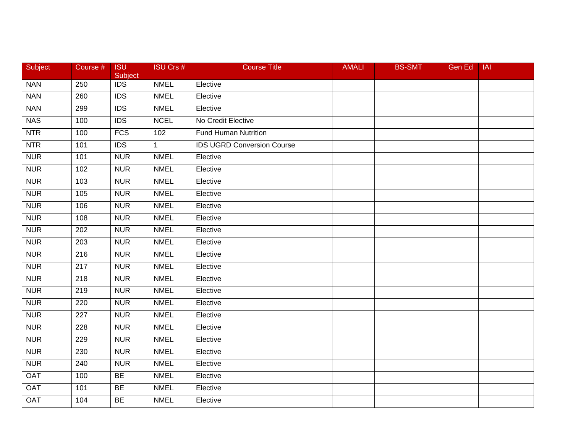| Subject    | Course #         | <b>ISU</b><br>Subject | ISU Crs #    | <b>Course Title</b>               | <b>AMALI</b> | <b>BS-SMT</b> | Gen Ed | <b>IAI</b> |
|------------|------------------|-----------------------|--------------|-----------------------------------|--------------|---------------|--------|------------|
| <b>NAN</b> | 250              | <b>IDS</b>            | <b>NMEL</b>  | Elective                          |              |               |        |            |
| <b>NAN</b> | 260              | $\overline{IDS}$      | <b>NMEL</b>  | Elective                          |              |               |        |            |
| <b>NAN</b> | 299              | <b>IDS</b>            | <b>NMEL</b>  | Elective                          |              |               |        |            |
| <b>NAS</b> | 100              | <b>IDS</b>            | <b>NCEL</b>  | No Credit Elective                |              |               |        |            |
| <b>NTR</b> | 100              | <b>FCS</b>            | 102          | <b>Fund Human Nutrition</b>       |              |               |        |            |
| <b>NTR</b> | 101              | <b>IDS</b>            | $\mathbf{1}$ | <b>IDS UGRD Conversion Course</b> |              |               |        |            |
| <b>NUR</b> | 101              | <b>NUR</b>            | <b>NMEL</b>  | Elective                          |              |               |        |            |
| <b>NUR</b> | 102              | <b>NUR</b>            | <b>NMEL</b>  | Elective                          |              |               |        |            |
| <b>NUR</b> | 103              | <b>NUR</b>            | <b>NMEL</b>  | Elective                          |              |               |        |            |
| <b>NUR</b> | 105              | <b>NUR</b>            | <b>NMEL</b>  | Elective                          |              |               |        |            |
| <b>NUR</b> | 106              | <b>NUR</b>            | <b>NMEL</b>  | Elective                          |              |               |        |            |
| <b>NUR</b> | 108              | <b>NUR</b>            | <b>NMEL</b>  | Elective                          |              |               |        |            |
| <b>NUR</b> | $\overline{202}$ | <b>NUR</b>            | <b>NMEL</b>  | Elective                          |              |               |        |            |
| <b>NUR</b> | 203              | <b>NUR</b>            | <b>NMEL</b>  | Elective                          |              |               |        |            |
| <b>NUR</b> | 216              | <b>NUR</b>            | <b>NMEL</b>  | Elective                          |              |               |        |            |
| <b>NUR</b> | 217              | <b>NUR</b>            | <b>NMEL</b>  | Elective                          |              |               |        |            |
| <b>NUR</b> | $\overline{218}$ | <b>NUR</b>            | <b>NMEL</b>  | Elective                          |              |               |        |            |
| <b>NUR</b> | 219              | <b>NUR</b>            | <b>NMEL</b>  | Elective                          |              |               |        |            |
| <b>NUR</b> | 220              | <b>NUR</b>            | <b>NMEL</b>  | Elective                          |              |               |        |            |
| <b>NUR</b> | 227              | <b>NUR</b>            | <b>NMEL</b>  | Elective                          |              |               |        |            |
| <b>NUR</b> | 228              | <b>NUR</b>            | <b>NMEL</b>  | Elective                          |              |               |        |            |
| <b>NUR</b> | 229              | <b>NUR</b>            | <b>NMEL</b>  | Elective                          |              |               |        |            |
| <b>NUR</b> | 230              | <b>NUR</b>            | <b>NMEL</b>  | Elective                          |              |               |        |            |
| <b>NUR</b> | 240              | <b>NUR</b>            | <b>NMEL</b>  | Elective                          |              |               |        |            |
| <b>OAT</b> | 100              | <b>BE</b>             | <b>NMEL</b>  | Elective                          |              |               |        |            |
| <b>OAT</b> | 101              | <b>BE</b>             | <b>NMEL</b>  | Elective                          |              |               |        |            |
| <b>OAT</b> | 104              | BE                    | <b>NMEL</b>  | Elective                          |              |               |        |            |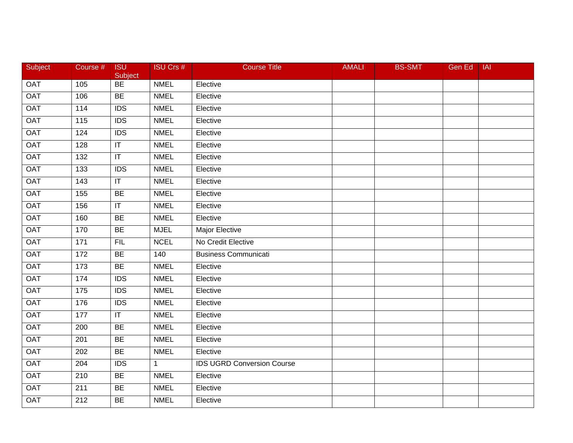| Subject    | Course #         | <b>ISU</b><br>Subject   | <b>ISU Crs #</b> | <b>Course Title</b>               | <b>AMALI</b> | <b>BS-SMT</b> | Gen Ed | <b>IAI</b> |
|------------|------------------|-------------------------|------------------|-----------------------------------|--------------|---------------|--------|------------|
| <b>OAT</b> | 105              | BE                      | <b>NMEL</b>      | Elective                          |              |               |        |            |
| <b>OAT</b> | 106              | BE                      | <b>NMEL</b>      | Elective                          |              |               |        |            |
| <b>OAT</b> | 114              | <b>IDS</b>              | <b>NMEL</b>      | Elective                          |              |               |        |            |
| <b>OAT</b> | 115              | $\overline{IDS}$        | <b>NMEL</b>      | Elective                          |              |               |        |            |
| <b>OAT</b> | 124              | <b>IDS</b>              | <b>NMEL</b>      | Elective                          |              |               |        |            |
| <b>OAT</b> | 128              | $\mathsf{I}\mathsf{T}$  | <b>NMEL</b>      | Elective                          |              |               |        |            |
| <b>OAT</b> | $\overline{132}$ | $\overline{\mathbb{T}}$ | <b>NMEL</b>      | Elective                          |              |               |        |            |
| <b>OAT</b> | 133              | $\overline{IDS}$        | <b>NMEL</b>      | Elective                          |              |               |        |            |
| <b>OAT</b> | 143              | $\overline{\mathbb{F}}$ | <b>NMEL</b>      | Elective                          |              |               |        |            |
| <b>OAT</b> | 155              | <b>BE</b>               | <b>NMEL</b>      | Elective                          |              |               |        |            |
| <b>OAT</b> | 156              | $\mathsf{I}\mathsf{T}$  | <b>NMEL</b>      | Elective                          |              |               |        |            |
| <b>OAT</b> | 160              | BE                      | <b>NMEL</b>      | Elective                          |              |               |        |            |
| OAT        | 170              | <b>BE</b>               | <b>MJEL</b>      | <b>Major Elective</b>             |              |               |        |            |
| <b>OAT</b> | 171              | FIL                     | <b>NCEL</b>      | No Credit Elective                |              |               |        |            |
| <b>OAT</b> | 172              | <b>BE</b>               | 140              | <b>Business Communicati</b>       |              |               |        |            |
| <b>OAT</b> | 173              | <b>BE</b>               | <b>NMEL</b>      | Elective                          |              |               |        |            |
| <b>OAT</b> | 174              | $\overline{IDS}$        | <b>NMEL</b>      | Elective                          |              |               |        |            |
| <b>OAT</b> | $\frac{175}{2}$  | $\overline{IDS}$        | <b>NMEL</b>      | Elective                          |              |               |        |            |
| <b>OAT</b> | 176              | <b>IDS</b>              | <b>NMEL</b>      | Elective                          |              |               |        |            |
| <b>OAT</b> | 177              | $\overline{\mathsf{T}}$ | <b>NMEL</b>      | Elective                          |              |               |        |            |
| <b>OAT</b> | 200              | <b>BE</b>               | <b>NMEL</b>      | Elective                          |              |               |        |            |
| <b>OAT</b> | 201              | BE                      | <b>NMEL</b>      | Elective                          |              |               |        |            |
| <b>OAT</b> | 202              | BE                      | <b>NMEL</b>      | Elective                          |              |               |        |            |
| <b>OAT</b> | 204              | <b>IDS</b>              | $\mathbf{1}$     | <b>IDS UGRD Conversion Course</b> |              |               |        |            |
| <b>OAT</b> | 210              | <b>BE</b>               | <b>NMEL</b>      | Elective                          |              |               |        |            |
| <b>OAT</b> | 211              | <b>BE</b>               | <b>NMEL</b>      | Elective                          |              |               |        |            |
| <b>OAT</b> | 212              | BE                      | <b>NMEL</b>      | Elective                          |              |               |        |            |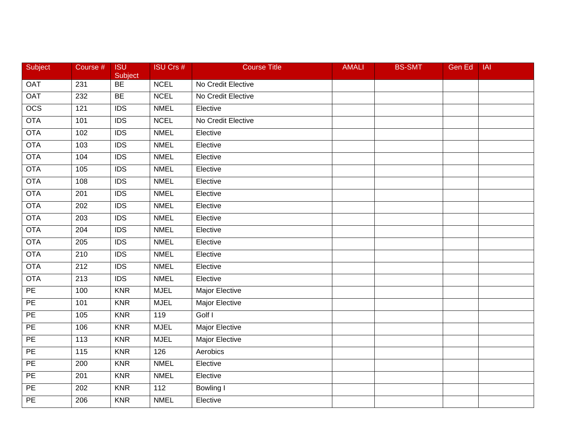| Subject          | Course #          | <b>ISU</b><br>Subject | <b>ISU Crs #</b>  | <b>Course Title</b>   | <b>AMALI</b> | <b>BS-SMT</b> | Gen Ed | <b>IAI</b> |
|------------------|-------------------|-----------------------|-------------------|-----------------------|--------------|---------------|--------|------------|
| <b>OAT</b>       | 231               | BE                    | <b>NCEL</b>       | No Credit Elective    |              |               |        |            |
| <b>OAT</b>       | 232               | BE                    | <b>NCEL</b>       | No Credit Elective    |              |               |        |            |
| $\overline{OCS}$ | 121               | <b>IDS</b>            | <b>NMEL</b>       | Elective              |              |               |        |            |
| <b>OTA</b>       | 101               | <b>IDS</b>            | <b>NCEL</b>       | No Credit Elective    |              |               |        |            |
| <b>OTA</b>       | 102               | <b>IDS</b>            | <b>NMEL</b>       | Elective              |              |               |        |            |
| <b>OTA</b>       | 103               | <b>IDS</b>            | <b>NMEL</b>       | Elective              |              |               |        |            |
| <b>OTA</b>       | 104               | $\overline{IDS}$      | <b>NMEL</b>       | Elective              |              |               |        |            |
| <b>OTA</b>       | 105               | IDS                   | <b>NMEL</b>       | Elective              |              |               |        |            |
| <b>OTA</b>       | 108               | $\overline{IDS}$      | <b>NMEL</b>       | Elective              |              |               |        |            |
| <b>OTA</b>       | 201               | $\overline{IDS}$      | <b>NMEL</b>       | Elective              |              |               |        |            |
| OTA              | 202               | <b>IDS</b>            | <b>NMEL</b>       | Elective              |              |               |        |            |
| <b>OTA</b>       | 203               | IDS                   | <b>NMEL</b>       | Elective              |              |               |        |            |
| <b>OTA</b>       | $\overline{204}$  | $\overline{IDS}$      | <b>NMEL</b>       | Elective              |              |               |        |            |
| <b>OTA</b>       | 205               | <b>IDS</b>            | <b>NMEL</b>       | Elective              |              |               |        |            |
| <b>OTA</b>       | 210               | $\overline{IDS}$      | <b>NMEL</b>       | Elective              |              |               |        |            |
| <b>OTA</b>       | 212               | <b>IDS</b>            | <b>NMEL</b>       | Elective              |              |               |        |            |
| <b>OTA</b>       | $\overline{213}$  | IDS                   | <b>NMEL</b>       | Elective              |              |               |        |            |
| PE               | 100               | <b>KNR</b>            | <b>MJEL</b>       | <b>Major Elective</b> |              |               |        |            |
| PE               | 101               | <b>KNR</b>            | <b>MJEL</b>       | <b>Major Elective</b> |              |               |        |            |
| PE               | 105               | <b>KNR</b>            | 119               | Golf I                |              |               |        |            |
| PE               | 106               | <b>KNR</b>            | <b>MJEL</b>       | <b>Major Elective</b> |              |               |        |            |
| PE               | 113               | <b>KNR</b>            | <b>MJEL</b>       | <b>Major Elective</b> |              |               |        |            |
| $\overline{PE}$  | $\frac{115}{115}$ | <b>KNR</b>            | 126               | Aerobics              |              |               |        |            |
| $\overline{PE}$  | 200               | <b>KNR</b>            | <b>NMEL</b>       | Elective              |              |               |        |            |
| PE               | 201               | <b>KNR</b>            | <b>NMEL</b>       | Elective              |              |               |        |            |
| PE               | 202               | <b>KNR</b>            | $\frac{112}{112}$ | Bowling I             |              |               |        |            |
| PE               | 206               | <b>KNR</b>            | <b>NMEL</b>       | Elective              |              |               |        |            |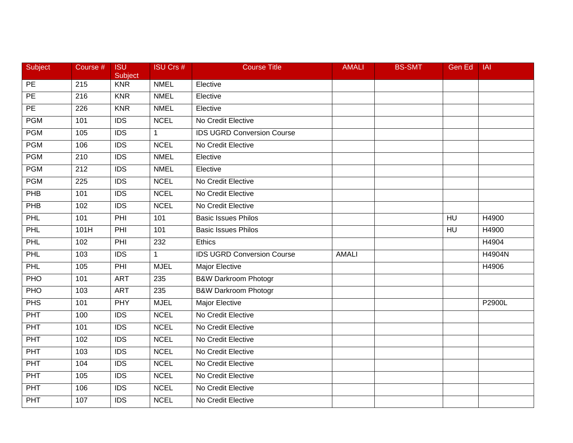| Subject          | Course #         | <b>ISU</b><br>Subject | <b>ISU Crs #</b> | <b>Course Title</b>               | <b>AMALI</b> | <b>BS-SMT</b> | Gen Ed          | <b>IAI</b>    |
|------------------|------------------|-----------------------|------------------|-----------------------------------|--------------|---------------|-----------------|---------------|
| $\overline{PE}$  | 215              | <b>KNR</b>            | <b>NMEL</b>      | Elective                          |              |               |                 |               |
| $\overline{PE}$  | 216              | <b>KNR</b>            | <b>NMEL</b>      | Elective                          |              |               |                 |               |
| $\overline{PE}$  | 226              | <b>KNR</b>            | <b>NMEL</b>      | Elective                          |              |               |                 |               |
| <b>PGM</b>       | 101              | <b>IDS</b>            | <b>NCEL</b>      | No Credit Elective                |              |               |                 |               |
| <b>PGM</b>       | 105              | <b>IDS</b>            | $\mathbf{1}$     | <b>IDS UGRD Conversion Course</b> |              |               |                 |               |
| <b>PGM</b>       | 106              | <b>IDS</b>            | <b>NCEL</b>      | No Credit Elective                |              |               |                 |               |
| <b>PGM</b>       | $\overline{210}$ | $\overline{IDS}$      | <b>NMEL</b>      | Elective                          |              |               |                 |               |
| <b>PGM</b>       | 212              | <b>IDS</b>            | <b>NMEL</b>      | Elective                          |              |               |                 |               |
| <b>PGM</b>       | 225              | <b>IDS</b>            | <b>NCEL</b>      | No Credit Elective                |              |               |                 |               |
| PHB              | 101              | <b>IDS</b>            | <b>NCEL</b>      | No Credit Elective                |              |               |                 |               |
| <b>PHB</b>       | 102              | <b>IDS</b>            | <b>NCEL</b>      | No Credit Elective                |              |               |                 |               |
| PHL              | 101              | PHI                   | 101              | <b>Basic Issues Philos</b>        |              |               | $H\overline{U}$ | H4900         |
| PHL              | 101H             | PHI                   | 101              | <b>Basic Issues Philos</b>        |              |               | H <sub>U</sub>  | H4900         |
| PHL              | 102              | PHI                   | 232              | Ethics                            |              |               |                 | H4904         |
| PHL              | 103              | $\overline{IDS}$      | $\mathbf{1}$     | <b>IDS UGRD Conversion Course</b> | <b>AMALI</b> |               |                 | <b>H4904N</b> |
| PHL              | 105              | PHI                   | <b>MJEL</b>      | Major Elective                    |              |               |                 | H4906         |
| PHO              | 101              | <b>ART</b>            | 235              | <b>B&amp;W Darkroom Photogr</b>   |              |               |                 |               |
| PHO              | 103              | <b>ART</b>            | 235              | <b>B&amp;W Darkroom Photogr</b>   |              |               |                 |               |
| <b>PHS</b>       | 101              | <b>PHY</b>            | <b>MJEL</b>      | Major Elective                    |              |               |                 | P2900L        |
| <b>PHT</b>       | 100              | $\overline{IDS}$      | <b>NCEL</b>      | No Credit Elective                |              |               |                 |               |
| PHT              | 101              | <b>IDS</b>            | <b>NCEL</b>      | No Credit Elective                |              |               |                 |               |
| <b>PHT</b>       | 102              | $\overline{IDS}$      | <b>NCEL</b>      | No Credit Elective                |              |               |                 |               |
| <b>PHT</b>       | 103              | $\overline{IDS}$      | <b>NCEL</b>      | No Credit Elective                |              |               |                 |               |
| PHT              | 104              | <b>IDS</b>            | <b>NCEL</b>      | No Credit Elective                |              |               |                 |               |
| <b>PHT</b>       | 105              | <b>IDS</b>            | <b>NCEL</b>      | No Credit Elective                |              |               |                 |               |
| $\overline{PHT}$ | 106              | <b>IDS</b>            | <b>NCEL</b>      | No Credit Elective                |              |               |                 |               |
| PHT              | 107              | $\overline{IDS}$      | <b>NCEL</b>      | No Credit Elective                |              |               |                 |               |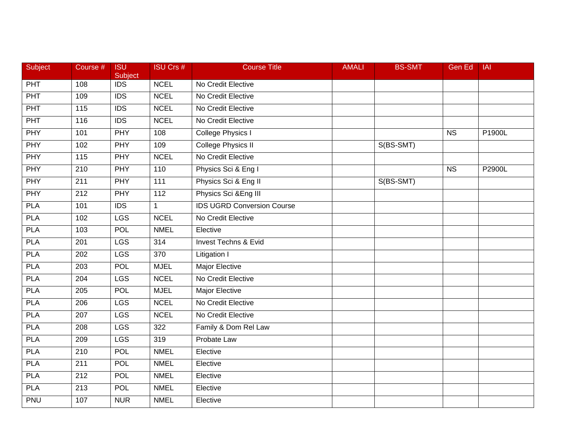| Subject    | Course #          | <b>ISU</b><br>Subject | <b>ISU Crs #</b> | <b>Course Title</b>               | <b>AMALI</b> | <b>BS-SMT</b> | <b>Gen Ed</b>          | IAI    |
|------------|-------------------|-----------------------|------------------|-----------------------------------|--------------|---------------|------------------------|--------|
| PHT        | 108               | $\overline{IDS}$      | <b>NCEL</b>      | No Credit Elective                |              |               |                        |        |
| PHT        | 109               | $\overline{IDS}$      | <b>NCEL</b>      | No Credit Elective                |              |               |                        |        |
| PHT        | 115               | <b>IDS</b>            | <b>NCEL</b>      | No Credit Elective                |              |               |                        |        |
| <b>PHT</b> | 116               | $\overline{IDS}$      | <b>NCEL</b>      | No Credit Elective                |              |               |                        |        |
| <b>PHY</b> | 101               | <b>PHY</b>            | 108              | College Physics I                 |              |               | <b>NS</b>              | P1900L |
| PHY        | 102               | PHY                   | 109              | College Physics II                |              | S(BS-SMT)     |                        |        |
| <b>PHY</b> | $\frac{115}{115}$ | <b>PHY</b>            | <b>NCEL</b>      | No Credit Elective                |              |               |                        |        |
| <b>PHY</b> | 210               | <b>PHY</b>            | 110              | Physics Sci & Eng I               |              |               | $\overline{\text{NS}}$ | P2900L |
| <b>PHY</b> | $\overline{211}$  | <b>PHY</b>            | $\frac{111}{11}$ | Physics Sci & Eng II              |              | S(BS-SMT)     |                        |        |
| <b>PHY</b> | 212               | <b>PHY</b>            | 112              | Physics Sci & Eng III             |              |               |                        |        |
| <b>PLA</b> | 101               | <b>IDS</b>            | $\mathbf{1}$     | <b>IDS UGRD Conversion Course</b> |              |               |                        |        |
| <b>PLA</b> | 102               | LGS                   | <b>NCEL</b>      | No Credit Elective                |              |               |                        |        |
| <b>PLA</b> | 103               | <b>POL</b>            | <b>NMEL</b>      | Elective                          |              |               |                        |        |
| <b>PLA</b> | 201               | <b>LGS</b>            | 314              | <b>Invest Techns &amp; Evid</b>   |              |               |                        |        |
| <b>PLA</b> | 202               | <b>LGS</b>            | 370              | Litigation I                      |              |               |                        |        |
| <b>PLA</b> | 203               | POL                   | <b>MJEL</b>      | Major Elective                    |              |               |                        |        |
| <b>PLA</b> | 204               | <b>LGS</b>            | <b>NCEL</b>      | No Credit Elective                |              |               |                        |        |
| <b>PLA</b> | $\overline{205}$  | <b>POL</b>            | <b>MJEL</b>      | <b>Major Elective</b>             |              |               |                        |        |
| <b>PLA</b> | 206               | <b>LGS</b>            | <b>NCEL</b>      | No Credit Elective                |              |               |                        |        |
| <b>PLA</b> | 207               | <b>LGS</b>            | <b>NCEL</b>      | No Credit Elective                |              |               |                        |        |
| <b>PLA</b> | 208               | <b>LGS</b>            | 322              | Family & Dom Rel Law              |              |               |                        |        |
| <b>PLA</b> | 209               | <b>LGS</b>            | 319              | Probate Law                       |              |               |                        |        |
| <b>PLA</b> | $\overline{210}$  | <b>POL</b>            | <b>NMEL</b>      | Elective                          |              |               |                        |        |
| <b>PLA</b> | $\overline{211}$  | <b>POL</b>            | <b>NMEL</b>      | Elective                          |              |               |                        |        |
| <b>PLA</b> | 212               | <b>POL</b>            | <b>NMEL</b>      | Elective                          |              |               |                        |        |
| <b>PLA</b> | 213               | <b>POL</b>            | <b>NMEL</b>      | Elective                          |              |               |                        |        |
| PNU        | 107               | <b>NUR</b>            | <b>NMEL</b>      | Elective                          |              |               |                        |        |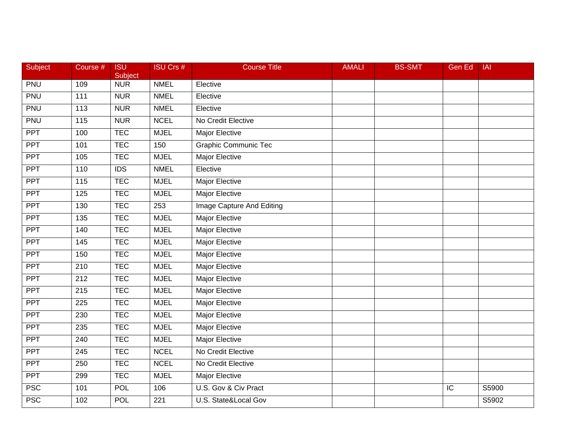| Subject    | Course #         | <b>ISU</b><br>Subject | <b>ISU Crs #</b> | <b>Course Title</b>         | <b>AMALI</b> | <b>BS-SMT</b> | <b>Gen Ed</b> | <b>IAI</b> |
|------------|------------------|-----------------------|------------------|-----------------------------|--------------|---------------|---------------|------------|
| <b>PNU</b> | 109              | <b>NUR</b>            | <b>NMEL</b>      | Elective                    |              |               |               |            |
| PNU        | 111              | <b>NUR</b>            | <b>NMEL</b>      | Elective                    |              |               |               |            |
| PNU        | 113              | <b>NUR</b>            | <b>NMEL</b>      | Elective                    |              |               |               |            |
| <b>PNU</b> | 115              | <b>NUR</b>            | <b>NCEL</b>      | No Credit Elective          |              |               |               |            |
| <b>PPT</b> | 100              | <b>TEC</b>            | <b>MJEL</b>      | Major Elective              |              |               |               |            |
| <b>PPT</b> | 101              | <b>TEC</b>            | 150              | <b>Graphic Communic Tec</b> |              |               |               |            |
| <b>PPT</b> | 105              | <b>TEC</b>            | <b>MJEL</b>      | Major Elective              |              |               |               |            |
| <b>PPT</b> | 110              | $\overline{IDS}$      | <b>NMEL</b>      | Elective                    |              |               |               |            |
| <b>PPT</b> | 115              | <b>TEC</b>            | <b>MJEL</b>      | <b>Major Elective</b>       |              |               |               |            |
| <b>PPT</b> | 125              | <b>TEC</b>            | <b>MJEL</b>      | Major Elective              |              |               |               |            |
| <b>PPT</b> | 130              | <b>TEC</b>            | 253              | Image Capture And Editing   |              |               |               |            |
| <b>PPT</b> | $\overline{135}$ | <b>TEC</b>            | <b>MJEL</b>      | <b>Major Elective</b>       |              |               |               |            |
| <b>PPT</b> | 140              | <b>TEC</b>            | <b>MJEL</b>      | <b>Major Elective</b>       |              |               |               |            |
| PPT        | 145              | <b>TEC</b>            | <b>MJEL</b>      | Major Elective              |              |               |               |            |
| <b>PPT</b> | 150              | <b>TEC</b>            | <b>MJEL</b>      | Major Elective              |              |               |               |            |
| <b>PPT</b> | 210              | <b>TEC</b>            | <b>MJEL</b>      | Major Elective              |              |               |               |            |
| <b>PPT</b> | 212              | <b>TEC</b>            | <b>MJEL</b>      | <b>Major Elective</b>       |              |               |               |            |
| <b>PPT</b> | 215              | <b>TEC</b>            | <b>MJEL</b>      | <b>Major Elective</b>       |              |               |               |            |
| <b>PPT</b> | 225              | <b>TEC</b>            | <b>MJEL</b>      | Major Elective              |              |               |               |            |
| <b>PPT</b> | 230              | <b>TEC</b>            | <b>MJEL</b>      | Major Elective              |              |               |               |            |
| <b>PPT</b> | 235              | <b>TEC</b>            | <b>MJEL</b>      | <b>Major Elective</b>       |              |               |               |            |
| <b>PPT</b> | 240              | <b>TEC</b>            | <b>MJEL</b>      | <b>Major Elective</b>       |              |               |               |            |
| <b>PPT</b> | 245              | <b>TEC</b>            | <b>NCEL</b>      | No Credit Elective          |              |               |               |            |
| <b>PPT</b> | 250              | <b>TEC</b>            | <b>NCEL</b>      | No Credit Elective          |              |               |               |            |
| PPT        | 299              | <b>TEC</b>            | <b>MJEL</b>      | Major Elective              |              |               |               |            |
| <b>PSC</b> | 101              | <b>POL</b>            | 106              | U.S. Gov & Civ Pract        |              |               | IC            | S5900      |
| <b>PSC</b> | 102              | <b>POL</b>            | 221              | U.S. State&Local Gov        |              |               |               | S5902      |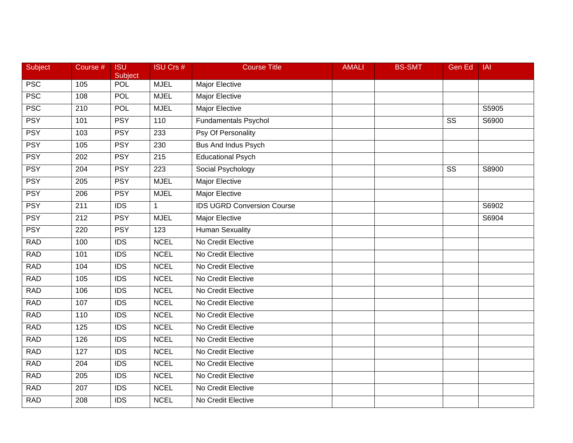| Subject    | Course # | <b>ISU</b><br>Subject | <b>ISU Crs #</b> | <b>Course Title</b>               | <b>AMALI</b> | <b>BS-SMT</b> | <b>Gen Ed</b>          | IAI   |
|------------|----------|-----------------------|------------------|-----------------------------------|--------------|---------------|------------------------|-------|
| <b>PSC</b> | 105      | <b>POL</b>            | <b>MJEL</b>      | Major Elective                    |              |               |                        |       |
| <b>PSC</b> | 108      | <b>POL</b>            | <b>MJEL</b>      | Major Elective                    |              |               |                        |       |
| <b>PSC</b> | 210      | <b>POL</b>            | <b>MJEL</b>      | <b>Major Elective</b>             |              |               |                        | S5905 |
| <b>PSY</b> | 101      | <b>PSY</b>            | 110              | <b>Fundamentals Psychol</b>       |              |               | $\overline{\text{SS}}$ | S6900 |
| <b>PSY</b> | 103      | <b>PSY</b>            | 233              | Psy Of Personality                |              |               |                        |       |
| <b>PSY</b> | 105      | <b>PSY</b>            | 230              | Bus And Indus Psych               |              |               |                        |       |
| <b>PSY</b> | 202      | <b>PSY</b>            | $\overline{215}$ | <b>Educational Psych</b>          |              |               |                        |       |
| <b>PSY</b> | 204      | <b>PSY</b>            | 223              | Social Psychology                 |              |               | $\overline{\text{SS}}$ | S8900 |
| <b>PSY</b> | 205      | <b>PSY</b>            | <b>MJEL</b>      | <b>Major Elective</b>             |              |               |                        |       |
| <b>PSY</b> | 206      | <b>PSY</b>            | <b>MJEL</b>      | Major Elective                    |              |               |                        |       |
| <b>PSY</b> | 211      | <b>IDS</b>            | $\mathbf{1}$     | <b>IDS UGRD Conversion Course</b> |              |               |                        | S6902 |
| <b>PSY</b> | 212      | <b>PSY</b>            | <b>MJEL</b>      | <b>Major Elective</b>             |              |               |                        | S6904 |
| <b>PSY</b> | 220      | <b>PSY</b>            | 123              | <b>Human Sexuality</b>            |              |               |                        |       |
| <b>RAD</b> | 100      | <b>IDS</b>            | <b>NCEL</b>      | No Credit Elective                |              |               |                        |       |
| <b>RAD</b> | 101      | $\overline{IDS}$      | <b>NCEL</b>      | No Credit Elective                |              |               |                        |       |
| <b>RAD</b> | 104      | <b>IDS</b>            | <b>NCEL</b>      | No Credit Elective                |              |               |                        |       |
| <b>RAD</b> | 105      | $\overline{IDS}$      | <b>NCEL</b>      | No Credit Elective                |              |               |                        |       |
| <b>RAD</b> | 106      | $\overline{IDS}$      | <b>NCEL</b>      | No Credit Elective                |              |               |                        |       |
| <b>RAD</b> | 107      | <b>IDS</b>            | <b>NCEL</b>      | No Credit Elective                |              |               |                        |       |
| <b>RAD</b> | 110      | <b>IDS</b>            | <b>NCEL</b>      | No Credit Elective                |              |               |                        |       |
| <b>RAD</b> | 125      | <b>IDS</b>            | <b>NCEL</b>      | No Credit Elective                |              |               |                        |       |
| <b>RAD</b> | 126      | <b>IDS</b>            | <b>NCEL</b>      | No Credit Elective                |              |               |                        |       |
| <b>RAD</b> | 127      | $\overline{IDS}$      | <b>NCEL</b>      | No Credit Elective                |              |               |                        |       |
| <b>RAD</b> | 204      | $\overline{IDS}$      | <b>NCEL</b>      | No Credit Elective                |              |               |                        |       |
| <b>RAD</b> | 205      | <b>IDS</b>            | <b>NCEL</b>      | No Credit Elective                |              |               |                        |       |
| <b>RAD</b> | 207      | <b>IDS</b>            | <b>NCEL</b>      | No Credit Elective                |              |               |                        |       |
| <b>RAD</b> | 208      | IDS                   | <b>NCEL</b>      | No Credit Elective                |              |               |                        |       |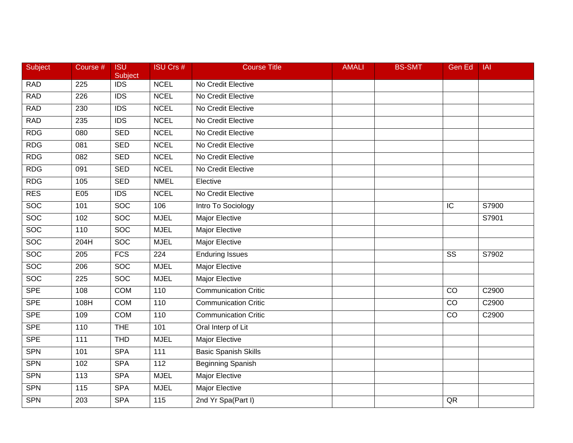| Subject         | Course # | <b>ISU</b><br>Subject | <b>ISU Crs #</b> | <b>Course Title</b>         | <b>AMALI</b> | <b>BS-SMT</b> | Gen Ed                 | <b>IAI</b> |
|-----------------|----------|-----------------------|------------------|-----------------------------|--------------|---------------|------------------------|------------|
| <b>RAD</b>      | 225      | <b>IDS</b>            | <b>NCEL</b>      | No Credit Elective          |              |               |                        |            |
| <b>RAD</b>      | 226      | <b>IDS</b>            | <b>NCEL</b>      | No Credit Elective          |              |               |                        |            |
| <b>RAD</b>      | 230      | <b>IDS</b>            | <b>NCEL</b>      | No Credit Elective          |              |               |                        |            |
| <b>RAD</b>      | 235      | $\overline{IDS}$      | <b>NCEL</b>      | No Credit Elective          |              |               |                        |            |
| <b>RDG</b>      | 080      | <b>SED</b>            | <b>NCEL</b>      | No Credit Elective          |              |               |                        |            |
| <b>RDG</b>      | 081      | <b>SED</b>            | <b>NCEL</b>      | No Credit Elective          |              |               |                        |            |
| R <sub>DG</sub> | 082      | <b>SED</b>            | <b>NCEL</b>      | No Credit Elective          |              |               |                        |            |
| R <sub>DG</sub> | 091      | <b>SED</b>            | <b>NCEL</b>      | No Credit Elective          |              |               |                        |            |
| R <sub>DG</sub> | 105      | <b>SED</b>            | <b>NMEL</b>      | Elective                    |              |               |                        |            |
| <b>RES</b>      | E05      | <b>IDS</b>            | <b>NCEL</b>      | No Credit Elective          |              |               |                        |            |
| SOC             | 101      | <b>SOC</b>            | 106              | Intro To Sociology          |              |               | IC                     | S7900      |
| <b>SOC</b>      | 102      | <b>SOC</b>            | <b>MJEL</b>      | <b>Major Elective</b>       |              |               |                        | S7901      |
| <b>SOC</b>      | 110      | <b>SOC</b>            | <b>MJEL</b>      | <b>Major Elective</b>       |              |               |                        |            |
| <b>SOC</b>      | 204H     | <b>SOC</b>            | <b>MJEL</b>      | Major Elective              |              |               |                        |            |
| <b>SOC</b>      | 205      | $\overline{FCS}$      | 224              | <b>Enduring Issues</b>      |              |               | $\overline{\text{SS}}$ | S7902      |
| <b>SOC</b>      | 206      | <b>SOC</b>            | <b>MJEL</b>      | Major Elective              |              |               |                        |            |
| <b>SOC</b>      | 225      | <b>SOC</b>            | <b>MJEL</b>      | <b>Major Elective</b>       |              |               |                        |            |
| <b>SPE</b>      | 108      | <b>COM</b>            | 110              | <b>Communication Critic</b> |              |               | $\overline{co}$        | C2900      |
| <b>SPE</b>      | 108H     | <b>COM</b>            | 110              | <b>Communication Critic</b> |              |               | $\overline{C}$         | C2900      |
| <b>SPE</b>      | 109      | <b>COM</b>            | 110              | <b>Communication Critic</b> |              |               | CO                     | C2900      |
| <b>SPE</b>      | 110      | <b>THE</b>            | 101              | Oral Interp of Lit          |              |               |                        |            |
| <b>SPE</b>      | 111      | <b>THD</b>            | <b>MJEL</b>      | <b>Major Elective</b>       |              |               |                        |            |
| <b>SPN</b>      | 101      | <b>SPA</b>            | 111              | <b>Basic Spanish Skills</b> |              |               |                        |            |
| <b>SPN</b>      | 102      | <b>SPA</b>            | $\frac{11}{2}$   | <b>Beginning Spanish</b>    |              |               |                        |            |
| SPN             | 113      | <b>SPA</b>            | <b>MJEL</b>      | Major Elective              |              |               |                        |            |
| <b>SPN</b>      | 115      | <b>SPA</b>            | <b>MJEL</b>      | Major Elective              |              |               |                        |            |
| <b>SPN</b>      | 203      | <b>SPA</b>            | $\overline{115}$ | 2nd Yr Spa(Part I)          |              |               | QR                     |            |